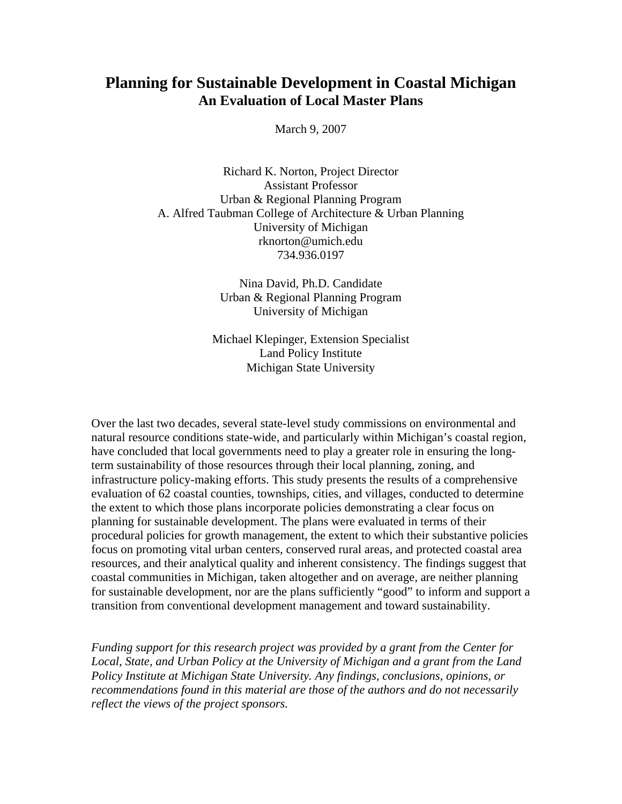# **Planning for Sustainable Development in Coastal Michigan An Evaluation of Local Master Plans**

March 9, 2007

Richard K. Norton, Project Director Assistant Professor Urban & Regional Planning Program A. Alfred Taubman College of Architecture & Urban Planning University of Michigan rknorton@umich.edu 734.936.0197

> Nina David, Ph.D. Candidate Urban & Regional Planning Program University of Michigan

Michael Klepinger, Extension Specialist Land Policy Institute Michigan State University

Over the last two decades, several state-level study commissions on environmental and natural resource conditions state-wide, and particularly within Michigan's coastal region, have concluded that local governments need to play a greater role in ensuring the longterm sustainability of those resources through their local planning, zoning, and infrastructure policy-making efforts. This study presents the results of a comprehensive evaluation of 62 coastal counties, townships, cities, and villages, conducted to determine the extent to which those plans incorporate policies demonstrating a clear focus on planning for sustainable development. The plans were evaluated in terms of their procedural policies for growth management, the extent to which their substantive policies focus on promoting vital urban centers, conserved rural areas, and protected coastal area resources, and their analytical quality and inherent consistency. The findings suggest that coastal communities in Michigan, taken altogether and on average, are neither planning for sustainable development, nor are the plans sufficiently "good" to inform and support a transition from conventional development management and toward sustainability.

*Funding support for this research project was provided by a grant from the Center for Local, State, and Urban Policy at the University of Michigan and a grant from the Land Policy Institute at Michigan State University. Any findings, conclusions, opinions, or recommendations found in this material are those of the authors and do not necessarily reflect the views of the project sponsors.*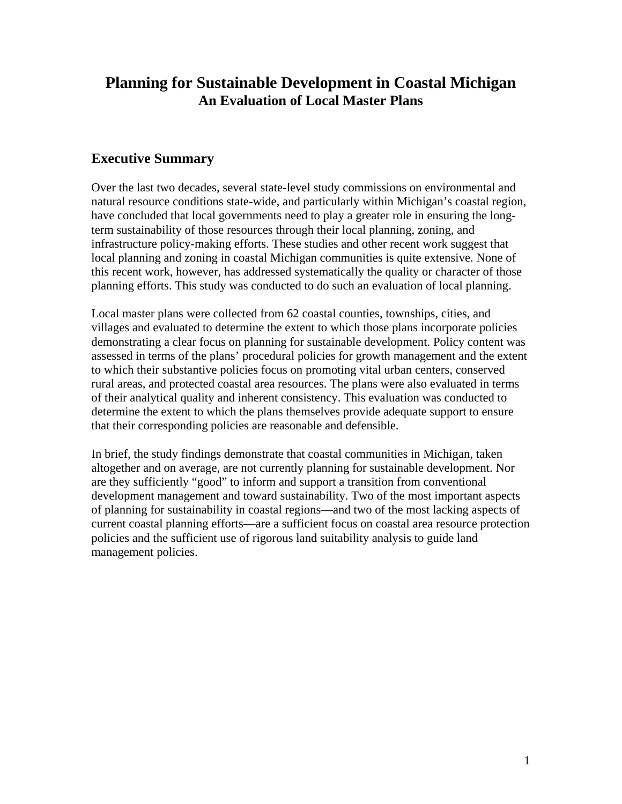# **Planning for Sustainable Development in Coastal Michigan An Evaluation of Local Master Plans**

## **Executive Summary**

Over the last two decades, several state-level study commissions on environmental and natural resource conditions state-wide, and particularly within Michigan's coastal region, have concluded that local governments need to play a greater role in ensuring the longterm sustainability of those resources through their local planning, zoning, and infrastructure policy-making efforts. These studies and other recent work suggest that local planning and zoning in coastal Michigan communities is quite extensive. None of this recent work, however, has addressed systematically the quality or character of those planning efforts. This study was conducted to do such an evaluation of local planning.

Local master plans were collected from 62 coastal counties, townships, cities, and villages and evaluated to determine the extent to which those plans incorporate policies demonstrating a clear focus on planning for sustainable development. Policy content was assessed in terms of the plans' procedural policies for growth management and the extent to which their substantive policies focus on promoting vital urban centers, conserved rural areas, and protected coastal area resources. The plans were also evaluated in terms of their analytical quality and inherent consistency. This evaluation was conducted to determine the extent to which the plans themselves provide adequate support to ensure that their corresponding policies are reasonable and defensible.

In brief, the study findings demonstrate that coastal communities in Michigan, taken altogether and on average, are not currently planning for sustainable development. Nor are they sufficiently "good" to inform and support a transition from conventional development management and toward sustainability. Two of the most important aspects of planning for sustainability in coastal regions—and two of the most lacking aspects of current coastal planning efforts—are a sufficient focus on coastal area resource protection policies and the sufficient use of rigorous land suitability analysis to guide land management policies.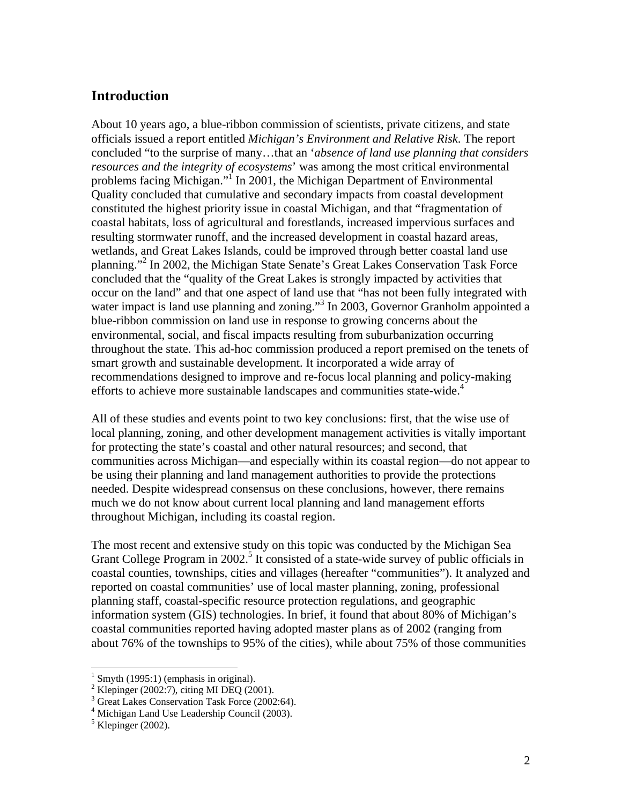### **Introduction**

About 10 years ago, a blue-ribbon commission of scientists, private citizens, and state officials issued a report entitled *Michigan's Environment and Relative Risk*. The report concluded "to the surprise of many…that an '*absence of land use planning that considers resources and the integrity of ecosystems*' was among the most critical environmental problems facing Michigan."<sup>I</sup> In 2001, the Michigan Department of Environmental Quality concluded that cumulative and secondary impacts from coastal development constituted the highest priority issue in coastal Michigan, and that "fragmentation of coastal habitats, loss of agricultural and forestlands, increased impervious surfaces and resulting stormwater runoff, and the increased development in coastal hazard areas, wetlands, and Great Lakes Islands, could be improved through better coastal land use planning."<sup>2</sup> In 2002, the Michigan State Senate's Great Lakes Conservation Task Force concluded that the "quality of the Great Lakes is strongly impacted by activities that occur on the land" and that one aspect of land use that "has not been fully integrated with water impact is land use planning and zoning."<sup>3</sup> In 2003, Governor Granholm appointed a blue-ribbon commission on land use in response to growing concerns about the environmental, social, and fiscal impacts resulting from suburbanization occurring throughout the state. This ad-hoc commission produced a report premised on the tenets of smart growth and sustainable development. It incorporated a wide array of recommendations designed to improve and re-focus local planning and policy-making efforts to achieve more sustainable landscapes and communities state-wide.<sup>4</sup>

All of these studies and events point to two key conclusions: first, that the wise use of local planning, zoning, and other development management activities is vitally important for protecting the state's coastal and other natural resources; and second, that communities across Michigan—and especially within its coastal region—do not appear to be using their planning and land management authorities to provide the protections needed. Despite widespread consensus on these conclusions, however, there remains much we do not know about current local planning and land management efforts throughout Michigan, including its coastal region.

The most recent and extensive study on this topic was conducted by the Michigan Sea Grant College Program in 2002.<sup>5</sup> It consisted of a state-wide survey of public officials in coastal counties, townships, cities and villages (hereafter "communities"). It analyzed and reported on coastal communities' use of local master planning, zoning, professional planning staff, coastal-specific resource protection regulations, and geographic information system (GIS) technologies. In brief, it found that about 80% of Michigan's coastal communities reported having adopted master plans as of 2002 (ranging from about 76% of the townships to 95% of the cities), while about 75% of those communities

 $\overline{a}$ 

 $<sup>1</sup>$  Smyth (1995:1) (emphasis in original).</sup>

 $2^2$  Klepinger (2002:7), citing MI DEQ (2001).

<sup>3</sup> Great Lakes Conservation Task Force (2002:64).

<sup>4</sup> Michigan Land Use Leadership Council (2003).

 $<sup>5</sup>$  Klepinger (2002).</sup>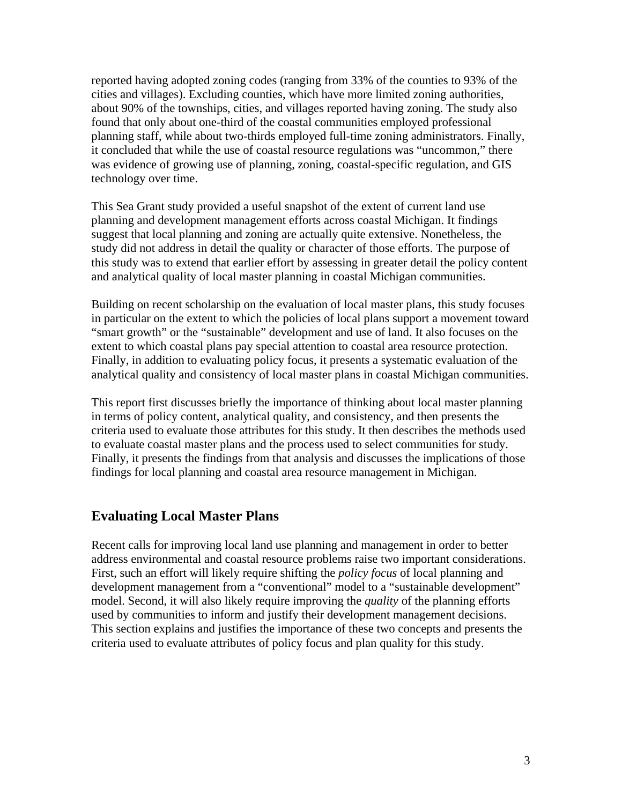reported having adopted zoning codes (ranging from 33% of the counties to 93% of the cities and villages). Excluding counties, which have more limited zoning authorities, about 90% of the townships, cities, and villages reported having zoning. The study also found that only about one-third of the coastal communities employed professional planning staff, while about two-thirds employed full-time zoning administrators. Finally, it concluded that while the use of coastal resource regulations was "uncommon," there was evidence of growing use of planning, zoning, coastal-specific regulation, and GIS technology over time.

This Sea Grant study provided a useful snapshot of the extent of current land use planning and development management efforts across coastal Michigan. It findings suggest that local planning and zoning are actually quite extensive. Nonetheless, the study did not address in detail the quality or character of those efforts. The purpose of this study was to extend that earlier effort by assessing in greater detail the policy content and analytical quality of local master planning in coastal Michigan communities.

Building on recent scholarship on the evaluation of local master plans, this study focuses in particular on the extent to which the policies of local plans support a movement toward "smart growth" or the "sustainable" development and use of land. It also focuses on the extent to which coastal plans pay special attention to coastal area resource protection. Finally, in addition to evaluating policy focus, it presents a systematic evaluation of the analytical quality and consistency of local master plans in coastal Michigan communities.

This report first discusses briefly the importance of thinking about local master planning in terms of policy content, analytical quality, and consistency, and then presents the criteria used to evaluate those attributes for this study. It then describes the methods used to evaluate coastal master plans and the process used to select communities for study. Finally, it presents the findings from that analysis and discusses the implications of those findings for local planning and coastal area resource management in Michigan.

## **Evaluating Local Master Plans**

Recent calls for improving local land use planning and management in order to better address environmental and coastal resource problems raise two important considerations. First, such an effort will likely require shifting the *policy focus* of local planning and development management from a "conventional" model to a "sustainable development" model. Second, it will also likely require improving the *quality* of the planning efforts used by communities to inform and justify their development management decisions. This section explains and justifies the importance of these two concepts and presents the criteria used to evaluate attributes of policy focus and plan quality for this study.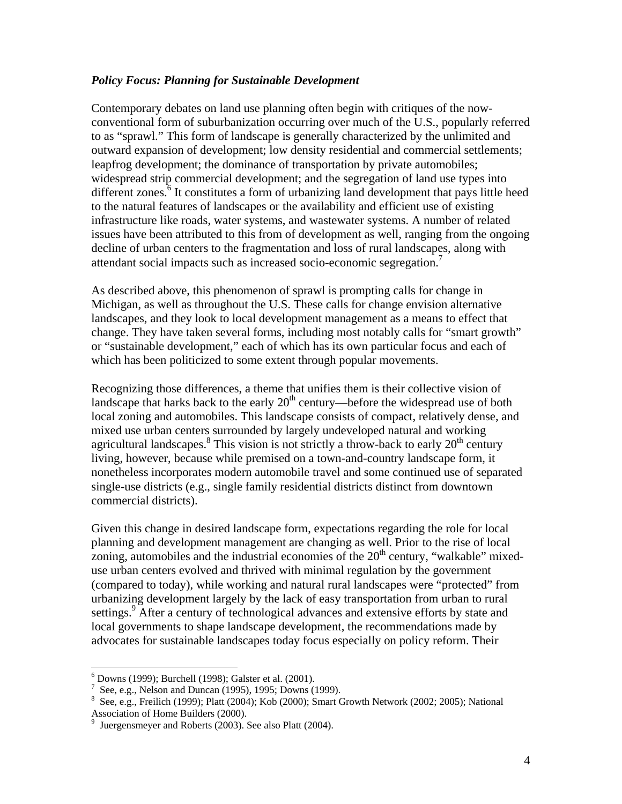#### *Policy Focus: Planning for Sustainable Development*

Contemporary debates on land use planning often begin with critiques of the nowconventional form of suburbanization occurring over much of the U.S., popularly referred to as "sprawl." This form of landscape is generally characterized by the unlimited and outward expansion of development; low density residential and commercial settlements; leapfrog development; the dominance of transportation by private automobiles; widespread strip commercial development; and the segregation of land use types into different zones.<sup>6</sup> It constitutes a form of urbanizing land development that pays little heed to the natural features of landscapes or the availability and efficient use of existing infrastructure like roads, water systems, and wastewater systems. A number of related issues have been attributed to this from of development as well, ranging from the ongoing decline of urban centers to the fragmentation and loss of rural landscapes, along with attendant social impacts such as increased socio-economic segregation.<sup>7</sup>

As described above, this phenomenon of sprawl is prompting calls for change in Michigan, as well as throughout the U.S. These calls for change envision alternative landscapes, and they look to local development management as a means to effect that change. They have taken several forms, including most notably calls for "smart growth" or "sustainable development," each of which has its own particular focus and each of which has been politicized to some extent through popular movements.

Recognizing those differences, a theme that unifies them is their collective vision of landscape that harks back to the early  $20<sup>th</sup>$  century—before the widespread use of both local zoning and automobiles. This landscape consists of compact, relatively dense, and mixed use urban centers surrounded by largely undeveloped natural and working agricultural landscapes.<sup>8</sup> This vision is not strictly a throw-back to early  $20<sup>th</sup>$  century living, however, because while premised on a town-and-country landscape form, it nonetheless incorporates modern automobile travel and some continued use of separated single-use districts (e.g., single family residential districts distinct from downtown commercial districts).

Given this change in desired landscape form, expectations regarding the role for local planning and development management are changing as well. Prior to the rise of local zoning, automobiles and the industrial economies of the  $20<sup>th</sup>$  century, "walkable" mixeduse urban centers evolved and thrived with minimal regulation by the government (compared to today), while working and natural rural landscapes were "protected" from urbanizing development largely by the lack of easy transportation from urban to rural settings.<sup>9</sup> After a century of technological advances and extensive efforts by state and local governments to shape landscape development, the recommendations made by advocates for sustainable landscapes today focus especially on policy reform. Their

 $\overline{a}$ 

<sup>6</sup> Downs (1999); Burchell (1998); Galster et al. (2001).

<sup>&</sup>lt;sup>7</sup> See, e.g., Nelson and Duncan (1995), 1995; Downs (1999).

<sup>&</sup>lt;sup>8</sup> See, e.g., Freilich (1999); Platt (2004); Kob (2000); Smart Growth Network (2002; 2005); National

Association of Home Builders (2000).<br><sup>9</sup> Juergensmeyer and Roberts (2003). See also Platt (2004).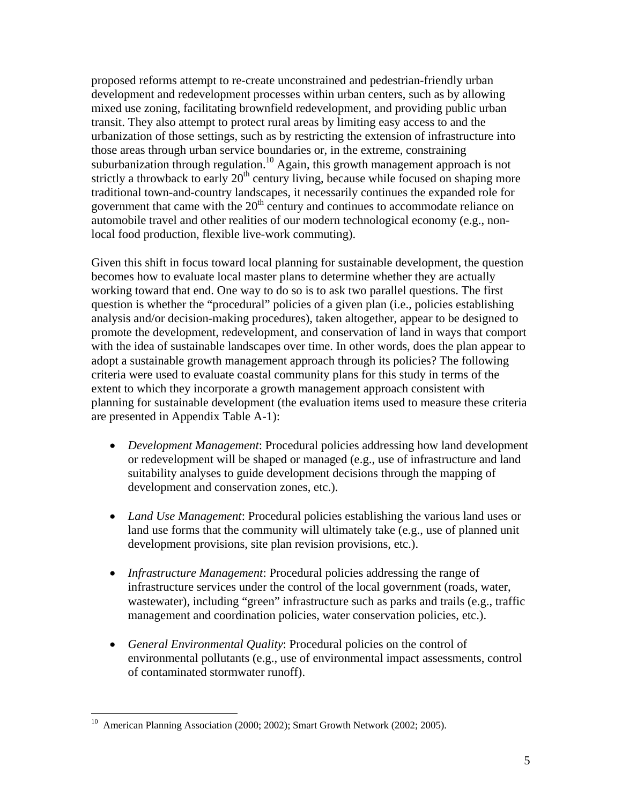proposed reforms attempt to re-create unconstrained and pedestrian-friendly urban development and redevelopment processes within urban centers, such as by allowing mixed use zoning, facilitating brownfield redevelopment, and providing public urban transit. They also attempt to protect rural areas by limiting easy access to and the urbanization of those settings, such as by restricting the extension of infrastructure into those areas through urban service boundaries or, in the extreme, constraining suburbanization through regulation.<sup>10</sup> Again, this growth management approach is not strictly a throwback to early  $20<sup>th</sup>$  century living, because while focused on shaping more traditional town-and-country landscapes, it necessarily continues the expanded role for government that came with the  $20<sup>th</sup>$  century and continues to accommodate reliance on automobile travel and other realities of our modern technological economy (e.g., nonlocal food production, flexible live-work commuting).

Given this shift in focus toward local planning for sustainable development, the question becomes how to evaluate local master plans to determine whether they are actually working toward that end. One way to do so is to ask two parallel questions. The first question is whether the "procedural" policies of a given plan (i.e., policies establishing analysis and/or decision-making procedures), taken altogether, appear to be designed to promote the development, redevelopment, and conservation of land in ways that comport with the idea of sustainable landscapes over time. In other words, does the plan appear to adopt a sustainable growth management approach through its policies? The following criteria were used to evaluate coastal community plans for this study in terms of the extent to which they incorporate a growth management approach consistent with planning for sustainable development (the evaluation items used to measure these criteria are presented in Appendix Table A-1):

- *Development Management*: Procedural policies addressing how land development or redevelopment will be shaped or managed (e.g., use of infrastructure and land suitability analyses to guide development decisions through the mapping of development and conservation zones, etc.).
- *Land Use Management*: Procedural policies establishing the various land uses or land use forms that the community will ultimately take (e.g., use of planned unit development provisions, site plan revision provisions, etc.).
- *Infrastructure Management*: Procedural policies addressing the range of infrastructure services under the control of the local government (roads, water, wastewater), including "green" infrastructure such as parks and trails (e.g., traffic management and coordination policies, water conservation policies, etc.).
- *General Environmental Quality*: Procedural policies on the control of environmental pollutants (e.g., use of environmental impact assessments, control of contaminated stormwater runoff).

 $\overline{a}$ 

<sup>&</sup>lt;sup>10</sup> American Planning Association (2000; 2002); Smart Growth Network (2002; 2005).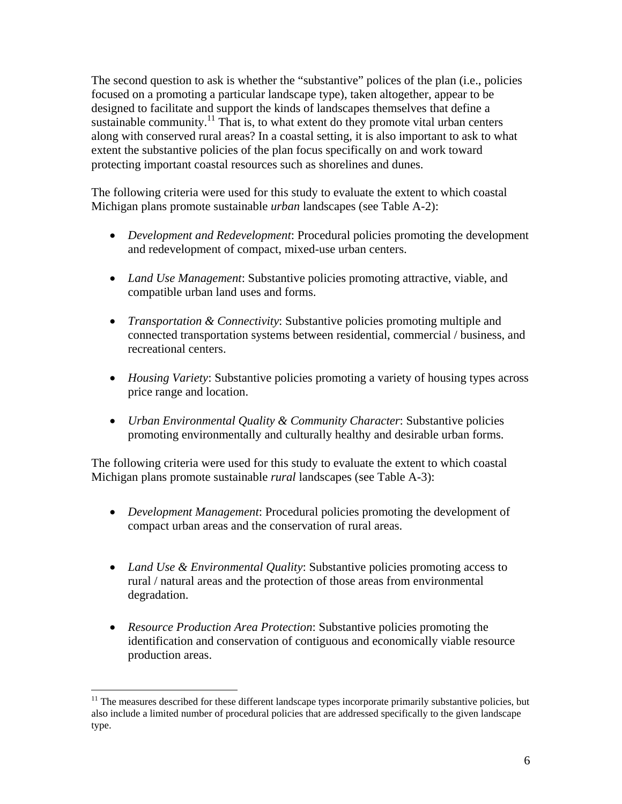The second question to ask is whether the "substantive" polices of the plan (i.e., policies focused on a promoting a particular landscape type), taken altogether, appear to be designed to facilitate and support the kinds of landscapes themselves that define a sustainable community.<sup>11</sup> That is, to what extent do they promote vital urban centers along with conserved rural areas? In a coastal setting, it is also important to ask to what extent the substantive policies of the plan focus specifically on and work toward protecting important coastal resources such as shorelines and dunes.

The following criteria were used for this study to evaluate the extent to which coastal Michigan plans promote sustainable *urban* landscapes (see Table A-2):

- *Development and Redevelopment*: Procedural policies promoting the development and redevelopment of compact, mixed-use urban centers.
- *Land Use Management*: Substantive policies promoting attractive, viable, and compatible urban land uses and forms.
- *Transportation & Connectivity*: Substantive policies promoting multiple and connected transportation systems between residential, commercial / business, and recreational centers.
- *Housing Variety*: Substantive policies promoting a variety of housing types across price range and location.
- *Urban Environmental Quality & Community Character*: Substantive policies promoting environmentally and culturally healthy and desirable urban forms.

The following criteria were used for this study to evaluate the extent to which coastal Michigan plans promote sustainable *rural* landscapes (see Table A-3):

- *Development Management*: Procedural policies promoting the development of compact urban areas and the conservation of rural areas.
- *Land Use & Environmental Quality:* Substantive policies promoting access to rural / natural areas and the protection of those areas from environmental degradation.
- *Resource Production Area Protection*: Substantive policies promoting the identification and conservation of contiguous and economically viable resource production areas.

1

 $11$  The measures described for these different landscape types incorporate primarily substantive policies, but also include a limited number of procedural policies that are addressed specifically to the given landscape type.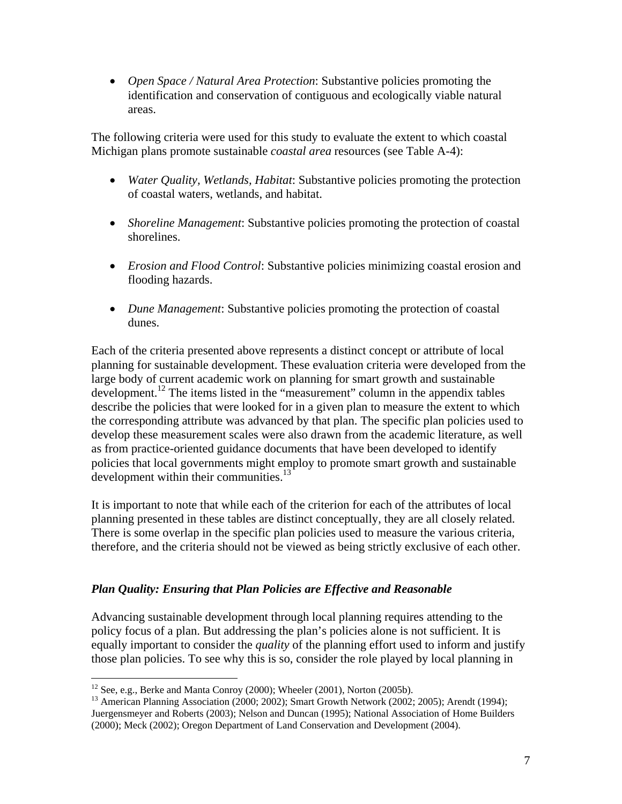• *Open Space / Natural Area Protection*: Substantive policies promoting the identification and conservation of contiguous and ecologically viable natural areas.

The following criteria were used for this study to evaluate the extent to which coastal Michigan plans promote sustainable *coastal area* resources (see Table A-4):

- *Water Quality, Wetlands, Habitat*: Substantive policies promoting the protection of coastal waters, wetlands, and habitat.
- *Shoreline Management*: Substantive policies promoting the protection of coastal shorelines.
- *Erosion and Flood Control*: Substantive policies minimizing coastal erosion and flooding hazards.
- *Dune Management*: Substantive policies promoting the protection of coastal dunes.

Each of the criteria presented above represents a distinct concept or attribute of local planning for sustainable development. These evaluation criteria were developed from the large body of current academic work on planning for smart growth and sustainable development.<sup>12</sup> The items listed in the "measurement" column in the appendix tables describe the policies that were looked for in a given plan to measure the extent to which the corresponding attribute was advanced by that plan. The specific plan policies used to develop these measurement scales were also drawn from the academic literature, as well as from practice-oriented guidance documents that have been developed to identify policies that local governments might employ to promote smart growth and sustainable development within their communities. $13$ 

It is important to note that while each of the criterion for each of the attributes of local planning presented in these tables are distinct conceptually, they are all closely related. There is some overlap in the specific plan policies used to measure the various criteria, therefore, and the criteria should not be viewed as being strictly exclusive of each other.

## *Plan Quality: Ensuring that Plan Policies are Effective and Reasonable*

Advancing sustainable development through local planning requires attending to the policy focus of a plan. But addressing the plan's policies alone is not sufficient. It is equally important to consider the *quality* of the planning effort used to inform and justify those plan policies. To see why this is so, consider the role played by local planning in

 $\overline{a}$ 

 $12$  See, e.g., Berke and Manta Conroy (2000); Wheeler (2001), Norton (2005b).

<sup>&</sup>lt;sup>13</sup> American Planning Association (2000; 2002); Smart Growth Network (2002; 2005); Arendt (1994); Juergensmeyer and Roberts (2003); Nelson and Duncan (1995); National Association of Home Builders (2000); Meck (2002); Oregon Department of Land Conservation and Development (2004).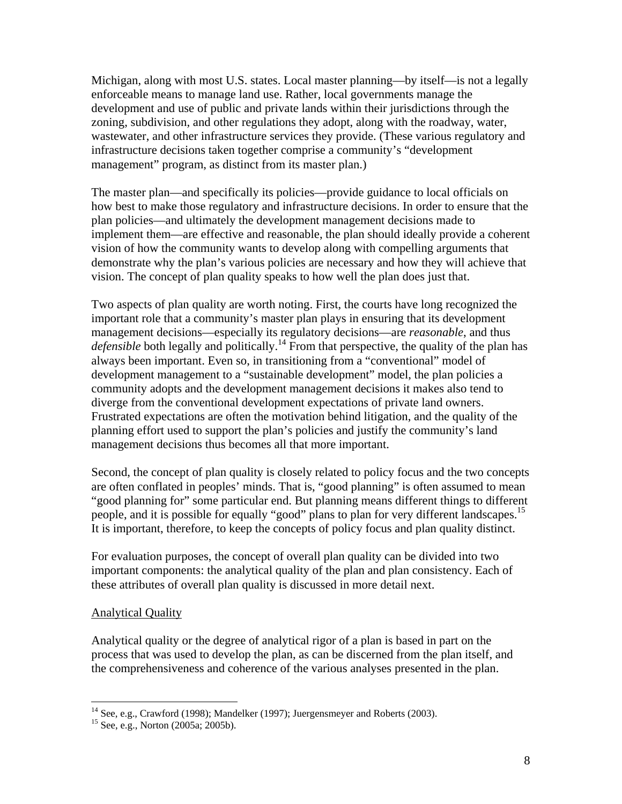Michigan, along with most U.S. states. Local master planning—by itself—is not a legally enforceable means to manage land use. Rather, local governments manage the development and use of public and private lands within their jurisdictions through the zoning, subdivision, and other regulations they adopt, along with the roadway, water, wastewater, and other infrastructure services they provide. (These various regulatory and infrastructure decisions taken together comprise a community's "development management" program, as distinct from its master plan.)

The master plan—and specifically its policies—provide guidance to local officials on how best to make those regulatory and infrastructure decisions. In order to ensure that the plan policies—and ultimately the development management decisions made to implement them—are effective and reasonable, the plan should ideally provide a coherent vision of how the community wants to develop along with compelling arguments that demonstrate why the plan's various policies are necessary and how they will achieve that vision. The concept of plan quality speaks to how well the plan does just that.

Two aspects of plan quality are worth noting. First, the courts have long recognized the important role that a community's master plan plays in ensuring that its development management decisions—especially its regulatory decisions—are *reasonable*, and thus *defensible* both legally and politically.<sup>14</sup> From that perspective, the quality of the plan has always been important. Even so, in transitioning from a "conventional" model of development management to a "sustainable development" model, the plan policies a community adopts and the development management decisions it makes also tend to diverge from the conventional development expectations of private land owners. Frustrated expectations are often the motivation behind litigation, and the quality of the planning effort used to support the plan's policies and justify the community's land management decisions thus becomes all that more important.

Second, the concept of plan quality is closely related to policy focus and the two concepts are often conflated in peoples' minds. That is, "good planning" is often assumed to mean "good planning for" some particular end. But planning means different things to different people, and it is possible for equally "good" plans to plan for very different landscapes.<sup>15</sup> It is important, therefore, to keep the concepts of policy focus and plan quality distinct.

For evaluation purposes, the concept of overall plan quality can be divided into two important components: the analytical quality of the plan and plan consistency. Each of these attributes of overall plan quality is discussed in more detail next.

### Analytical Quality

1

Analytical quality or the degree of analytical rigor of a plan is based in part on the process that was used to develop the plan, as can be discerned from the plan itself, and the comprehensiveness and coherence of the various analyses presented in the plan.

 $14$  See, e.g., Crawford (1998); Mandelker (1997); Juergensmeyer and Roberts (2003).

<sup>15</sup> See, e.g., Norton (2005a; 2005b).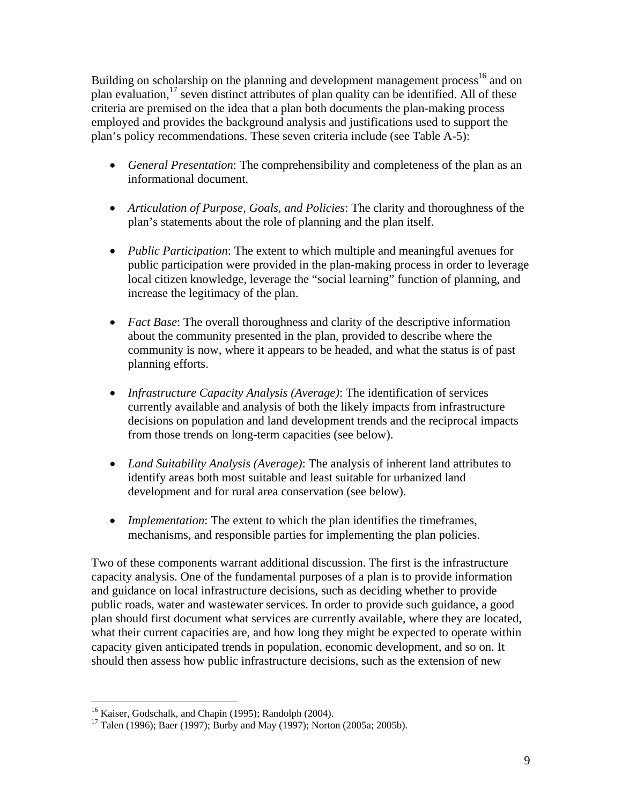Building on scholarship on the planning and development management process<sup>16</sup> and on plan evaluation,<sup>17</sup> seven distinct attributes of plan quality can be identified. All of these criteria are premised on the idea that a plan both documents the plan-making process employed and provides the background analysis and justifications used to support the plan's policy recommendations. These seven criteria include (see Table A-5):

- *General Presentation*: The comprehensibility and completeness of the plan as an informational document.
- *Articulation of Purpose, Goals, and Policies*: The clarity and thoroughness of the plan's statements about the role of planning and the plan itself.
- *Public Participation*: The extent to which multiple and meaningful avenues for public participation were provided in the plan-making process in order to leverage local citizen knowledge, leverage the "social learning" function of planning, and increase the legitimacy of the plan.
- *Fact Base*: The overall thoroughness and clarity of the descriptive information about the community presented in the plan, provided to describe where the community is now, where it appears to be headed, and what the status is of past planning efforts.
- *Infrastructure Capacity Analysis (Average)*: The identification of services currently available and analysis of both the likely impacts from infrastructure decisions on population and land development trends and the reciprocal impacts from those trends on long-term capacities (see below).
- *Land Suitability Analysis (Average)*: The analysis of inherent land attributes to identify areas both most suitable and least suitable for urbanized land development and for rural area conservation (see below).
- *Implementation*: The extent to which the plan identifies the timeframes, mechanisms, and responsible parties for implementing the plan policies.

Two of these components warrant additional discussion. The first is the infrastructure capacity analysis. One of the fundamental purposes of a plan is to provide information and guidance on local infrastructure decisions, such as deciding whether to provide public roads, water and wastewater services. In order to provide such guidance, a good plan should first document what services are currently available, where they are located, what their current capacities are, and how long they might be expected to operate within capacity given anticipated trends in population, economic development, and so on. It should then assess how public infrastructure decisions, such as the extension of new

 $\overline{a}$ <sup>16</sup> Kaiser, Godschalk, and Chapin (1995); Randolph (2004).

<sup>&</sup>lt;sup>17</sup> Talen (1996); Baer (1997); Burby and May (1997); Norton (2005a; 2005b).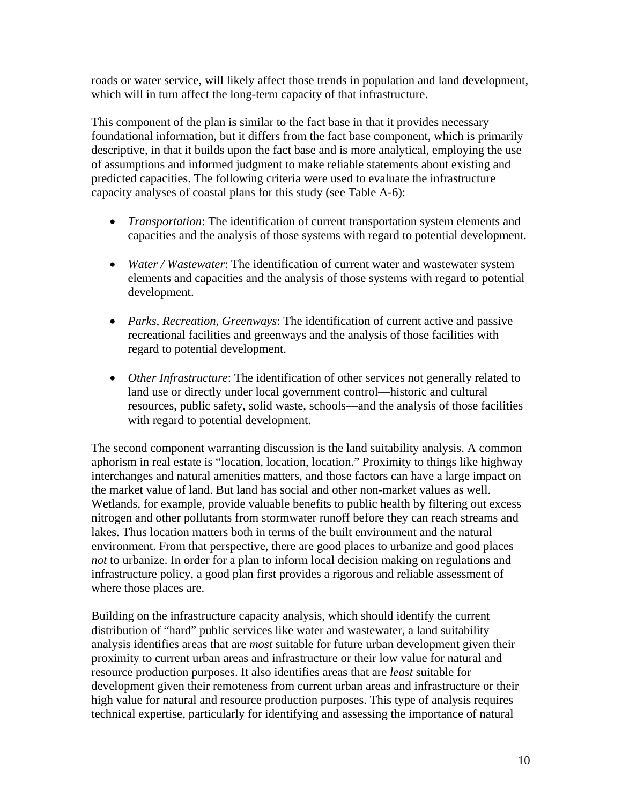roads or water service, will likely affect those trends in population and land development, which will in turn affect the long-term capacity of that infrastructure.

This component of the plan is similar to the fact base in that it provides necessary foundational information, but it differs from the fact base component, which is primarily descriptive, in that it builds upon the fact base and is more analytical, employing the use of assumptions and informed judgment to make reliable statements about existing and predicted capacities. The following criteria were used to evaluate the infrastructure capacity analyses of coastal plans for this study (see Table A-6):

- *Transportation*: The identification of current transportation system elements and capacities and the analysis of those systems with regard to potential development.
- *Water / Wastewater*: The identification of current water and wastewater system elements and capacities and the analysis of those systems with regard to potential development.
- *Parks, Recreation, Greenways*: The identification of current active and passive recreational facilities and greenways and the analysis of those facilities with regard to potential development.
- *Other Infrastructure*: The identification of other services not generally related to land use or directly under local government control—historic and cultural resources, public safety, solid waste, schools—and the analysis of those facilities with regard to potential development.

The second component warranting discussion is the land suitability analysis. A common aphorism in real estate is "location, location, location." Proximity to things like highway interchanges and natural amenities matters, and those factors can have a large impact on the market value of land. But land has social and other non-market values as well. Wetlands, for example, provide valuable benefits to public health by filtering out excess nitrogen and other pollutants from stormwater runoff before they can reach streams and lakes. Thus location matters both in terms of the built environment and the natural environment. From that perspective, there are good places to urbanize and good places *not* to urbanize. In order for a plan to inform local decision making on regulations and infrastructure policy, a good plan first provides a rigorous and reliable assessment of where those places are.

Building on the infrastructure capacity analysis, which should identify the current distribution of "hard" public services like water and wastewater, a land suitability analysis identifies areas that are *most* suitable for future urban development given their proximity to current urban areas and infrastructure or their low value for natural and resource production purposes. It also identifies areas that are *least* suitable for development given their remoteness from current urban areas and infrastructure or their high value for natural and resource production purposes. This type of analysis requires technical expertise, particularly for identifying and assessing the importance of natural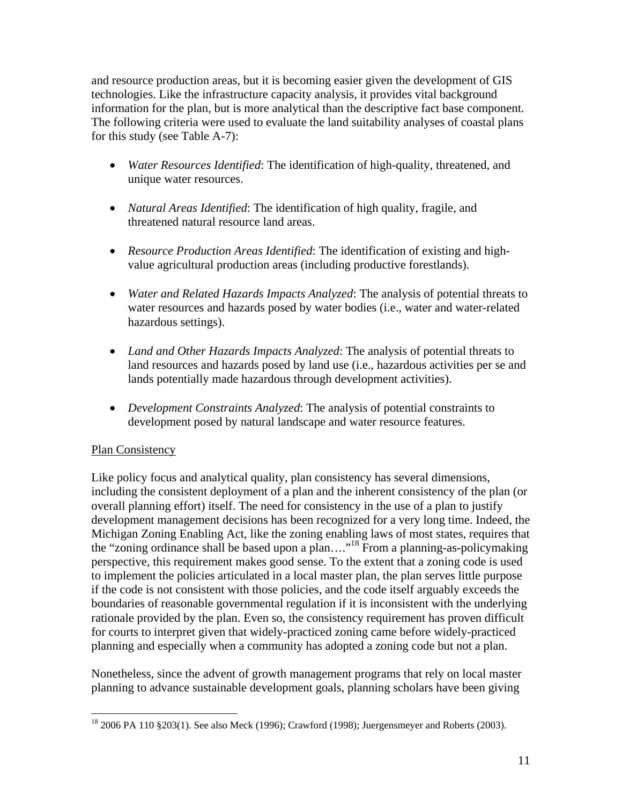and resource production areas, but it is becoming easier given the development of GIS technologies. Like the infrastructure capacity analysis, it provides vital background information for the plan, but is more analytical than the descriptive fact base component. The following criteria were used to evaluate the land suitability analyses of coastal plans for this study (see Table A-7):

- *Water Resources Identified*: The identification of high-quality, threatened, and unique water resources.
- *Natural Areas Identified*: The identification of high quality, fragile, and threatened natural resource land areas.
- *Resource Production Areas Identified*: The identification of existing and highvalue agricultural production areas (including productive forestlands).
- *Water and Related Hazards Impacts Analyzed*: The analysis of potential threats to water resources and hazards posed by water bodies (i.e., water and water-related hazardous settings).
- *Land and Other Hazards Impacts Analyzed*: The analysis of potential threats to land resources and hazards posed by land use (i.e., hazardous activities per se and lands potentially made hazardous through development activities).
- *Development Constraints Analyzed*: The analysis of potential constraints to development posed by natural landscape and water resource features.

## Plan Consistency

Like policy focus and analytical quality, plan consistency has several dimensions, including the consistent deployment of a plan and the inherent consistency of the plan (or overall planning effort) itself. The need for consistency in the use of a plan to justify development management decisions has been recognized for a very long time. Indeed, the Michigan Zoning Enabling Act, like the zoning enabling laws of most states, requires that the "zoning ordinance shall be based upon a plan…."18 From a planning-as-policymaking perspective, this requirement makes good sense. To the extent that a zoning code is used to implement the policies articulated in a local master plan, the plan serves little purpose if the code is not consistent with those policies, and the code itself arguably exceeds the boundaries of reasonable governmental regulation if it is inconsistent with the underlying rationale provided by the plan. Even so, the consistency requirement has proven difficult for courts to interpret given that widely-practiced zoning came before widely-practiced planning and especially when a community has adopted a zoning code but not a plan.

Nonetheless, since the advent of growth management programs that rely on local master planning to advance sustainable development goals, planning scholars have been giving

 $\overline{a}$  $18\,2006\,PA\,110\,$  §203(1). See also Meck (1996); Crawford (1998); Juergensmeyer and Roberts (2003).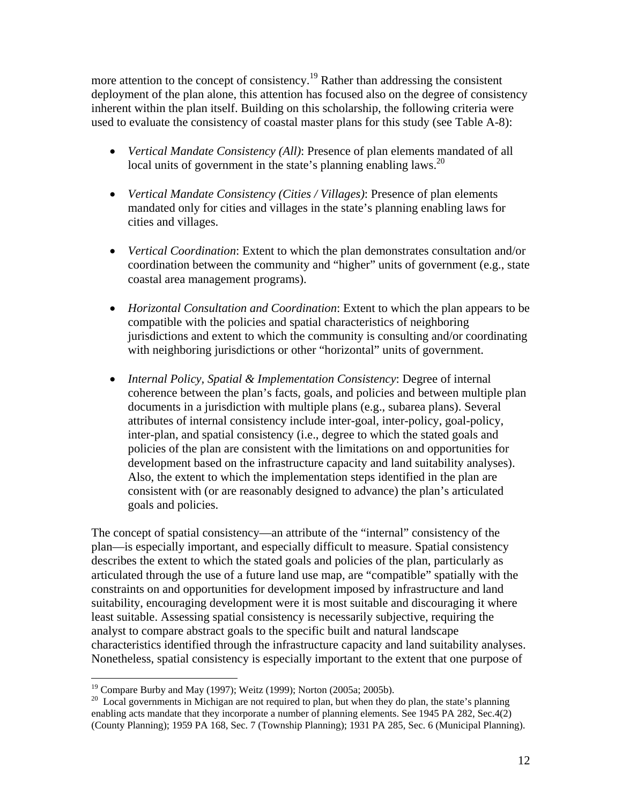more attention to the concept of consistency.19 Rather than addressing the consistent deployment of the plan alone, this attention has focused also on the degree of consistency inherent within the plan itself. Building on this scholarship, the following criteria were used to evaluate the consistency of coastal master plans for this study (see Table A-8):

- *Vertical Mandate Consistency (All)*: Presence of plan elements mandated of all local units of government in the state's planning enabling laws.<sup>20</sup>
- *Vertical Mandate Consistency (Cities / Villages)*: Presence of plan elements mandated only for cities and villages in the state's planning enabling laws for cities and villages.
- *Vertical Coordination*: Extent to which the plan demonstrates consultation and/or coordination between the community and "higher" units of government (e.g., state coastal area management programs).
- *Horizontal Consultation and Coordination*: Extent to which the plan appears to be compatible with the policies and spatial characteristics of neighboring jurisdictions and extent to which the community is consulting and/or coordinating with neighboring jurisdictions or other "horizontal" units of government.
- *Internal Policy, Spatial & Implementation Consistency*: Degree of internal coherence between the plan's facts, goals, and policies and between multiple plan documents in a jurisdiction with multiple plans (e.g., subarea plans). Several attributes of internal consistency include inter-goal, inter-policy, goal-policy, inter-plan, and spatial consistency (i.e., degree to which the stated goals and policies of the plan are consistent with the limitations on and opportunities for development based on the infrastructure capacity and land suitability analyses). Also, the extent to which the implementation steps identified in the plan are consistent with (or are reasonably designed to advance) the plan's articulated goals and policies.

The concept of spatial consistency—an attribute of the "internal" consistency of the plan—is especially important, and especially difficult to measure. Spatial consistency describes the extent to which the stated goals and policies of the plan, particularly as articulated through the use of a future land use map, are "compatible" spatially with the constraints on and opportunities for development imposed by infrastructure and land suitability, encouraging development were it is most suitable and discouraging it where least suitable. Assessing spatial consistency is necessarily subjective, requiring the analyst to compare abstract goals to the specific built and natural landscape characteristics identified through the infrastructure capacity and land suitability analyses. Nonetheless, spatial consistency is especially important to the extent that one purpose of

 $\overline{a}$ 

<sup>&</sup>lt;sup>19</sup> Compare Burby and May (1997); Weitz (1999); Norton (2005a; 2005b).

<sup>&</sup>lt;sup>20</sup> Local governments in Michigan are not required to plan, but when they do plan, the state's planning enabling acts mandate that they incorporate a number of planning elements. See 1945 PA 282, Sec.4(2) (County Planning); 1959 PA 168, Sec. 7 (Township Planning); 1931 PA 285, Sec. 6 (Municipal Planning).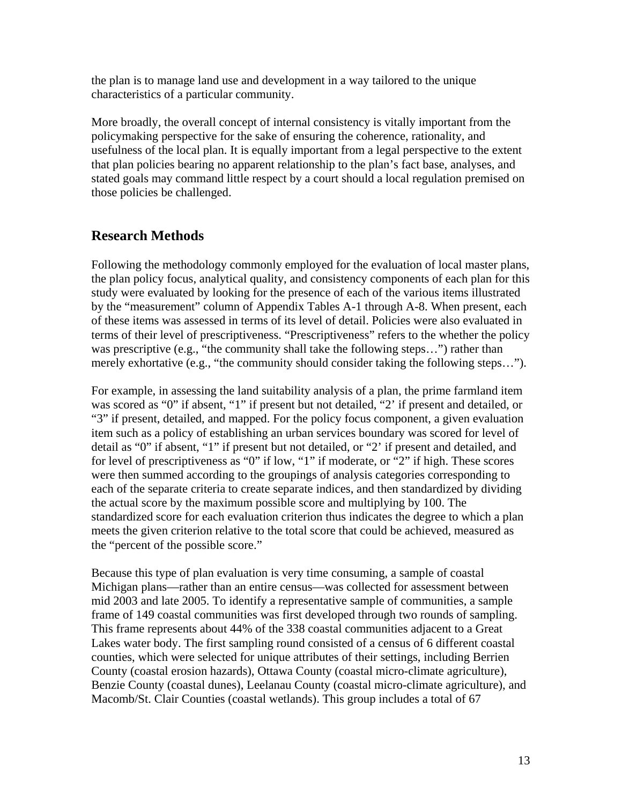the plan is to manage land use and development in a way tailored to the unique characteristics of a particular community.

More broadly, the overall concept of internal consistency is vitally important from the policymaking perspective for the sake of ensuring the coherence, rationality, and usefulness of the local plan. It is equally important from a legal perspective to the extent that plan policies bearing no apparent relationship to the plan's fact base, analyses, and stated goals may command little respect by a court should a local regulation premised on those policies be challenged.

## **Research Methods**

Following the methodology commonly employed for the evaluation of local master plans, the plan policy focus, analytical quality, and consistency components of each plan for this study were evaluated by looking for the presence of each of the various items illustrated by the "measurement" column of Appendix Tables A-1 through A-8. When present, each of these items was assessed in terms of its level of detail. Policies were also evaluated in terms of their level of prescriptiveness. "Prescriptiveness" refers to the whether the policy was prescriptive (e.g., "the community shall take the following steps...") rather than merely exhortative (e.g., "the community should consider taking the following steps...").

For example, in assessing the land suitability analysis of a plan, the prime farmland item was scored as "0" if absent, "1" if present but not detailed, "2' if present and detailed, or "3" if present, detailed, and mapped. For the policy focus component, a given evaluation item such as a policy of establishing an urban services boundary was scored for level of detail as "0" if absent, "1" if present but not detailed, or "2' if present and detailed, and for level of prescriptiveness as "0" if low, "1" if moderate, or "2" if high. These scores were then summed according to the groupings of analysis categories corresponding to each of the separate criteria to create separate indices, and then standardized by dividing the actual score by the maximum possible score and multiplying by 100. The standardized score for each evaluation criterion thus indicates the degree to which a plan meets the given criterion relative to the total score that could be achieved, measured as the "percent of the possible score."

Because this type of plan evaluation is very time consuming, a sample of coastal Michigan plans—rather than an entire census—was collected for assessment between mid 2003 and late 2005. To identify a representative sample of communities, a sample frame of 149 coastal communities was first developed through two rounds of sampling. This frame represents about 44% of the 338 coastal communities adjacent to a Great Lakes water body. The first sampling round consisted of a census of 6 different coastal counties, which were selected for unique attributes of their settings, including Berrien County (coastal erosion hazards), Ottawa County (coastal micro-climate agriculture), Benzie County (coastal dunes), Leelanau County (coastal micro-climate agriculture), and Macomb/St. Clair Counties (coastal wetlands). This group includes a total of 67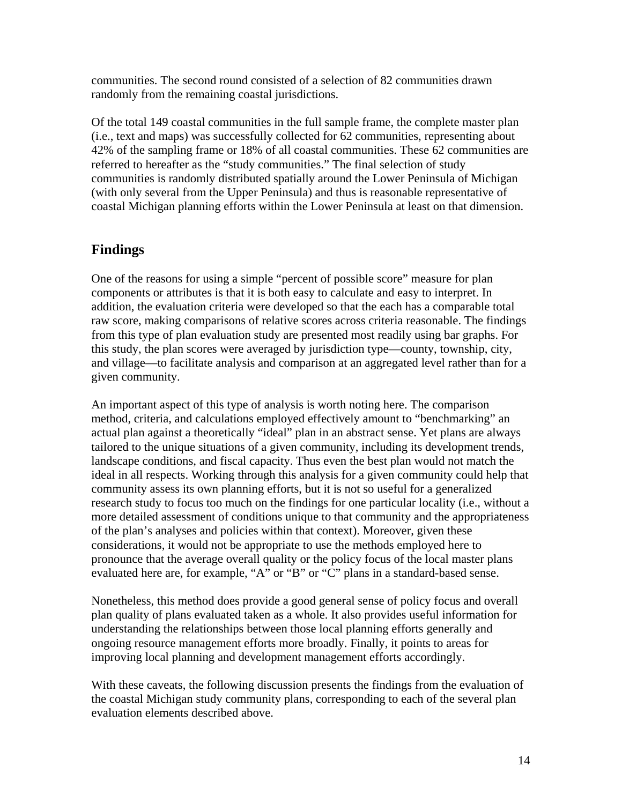communities. The second round consisted of a selection of 82 communities drawn randomly from the remaining coastal jurisdictions.

Of the total 149 coastal communities in the full sample frame, the complete master plan (i.e., text and maps) was successfully collected for 62 communities, representing about 42% of the sampling frame or 18% of all coastal communities. These 62 communities are referred to hereafter as the "study communities." The final selection of study communities is randomly distributed spatially around the Lower Peninsula of Michigan (with only several from the Upper Peninsula) and thus is reasonable representative of coastal Michigan planning efforts within the Lower Peninsula at least on that dimension.

## **Findings**

One of the reasons for using a simple "percent of possible score" measure for plan components or attributes is that it is both easy to calculate and easy to interpret. In addition, the evaluation criteria were developed so that the each has a comparable total raw score, making comparisons of relative scores across criteria reasonable. The findings from this type of plan evaluation study are presented most readily using bar graphs. For this study, the plan scores were averaged by jurisdiction type—county, township, city, and village—to facilitate analysis and comparison at an aggregated level rather than for a given community.

An important aspect of this type of analysis is worth noting here. The comparison method, criteria, and calculations employed effectively amount to "benchmarking" an actual plan against a theoretically "ideal" plan in an abstract sense. Yet plans are always tailored to the unique situations of a given community, including its development trends, landscape conditions, and fiscal capacity. Thus even the best plan would not match the ideal in all respects. Working through this analysis for a given community could help that community assess its own planning efforts, but it is not so useful for a generalized research study to focus too much on the findings for one particular locality (i.e., without a more detailed assessment of conditions unique to that community and the appropriateness of the plan's analyses and policies within that context). Moreover, given these considerations, it would not be appropriate to use the methods employed here to pronounce that the average overall quality or the policy focus of the local master plans evaluated here are, for example, "A" or "B" or "C" plans in a standard-based sense.

Nonetheless, this method does provide a good general sense of policy focus and overall plan quality of plans evaluated taken as a whole. It also provides useful information for understanding the relationships between those local planning efforts generally and ongoing resource management efforts more broadly. Finally, it points to areas for improving local planning and development management efforts accordingly.

With these caveats, the following discussion presents the findings from the evaluation of the coastal Michigan study community plans, corresponding to each of the several plan evaluation elements described above.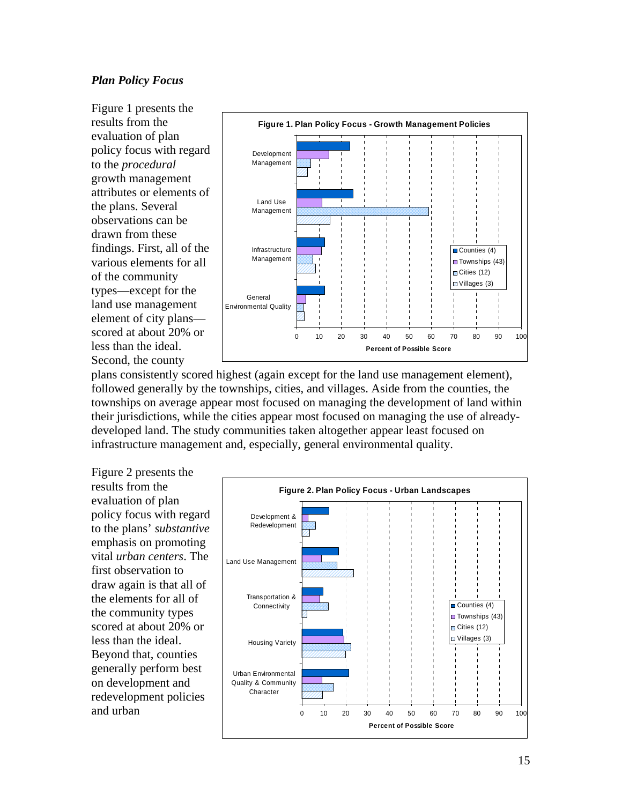#### *Plan Policy Focus*

Figure 1 presents the results from the evaluation of plan policy focus with regard to the *procedural* growth management attributes or elements of the plans. Several observations can be drawn from these findings. First, all of the various elements for all of the community types—except for the land use management element of city plans scored at about 20% or less than the ideal. Second, the county



plans consistently scored highest (again except for the land use management element), followed generally by the townships, cities, and villages. Aside from the counties, the townships on average appear most focused on managing the development of land within their jurisdictions, while the cities appear most focused on managing the use of alreadydeveloped land. The study communities taken altogether appear least focused on infrastructure management and, especially, general environmental quality.

Figure 2 presents the results from the evaluation of plan policy focus with regard to the plans' *substantive* emphasis on promoting vital *urban centers*. The first observation to draw again is that all of the elements for all of the community types scored at about 20% or less than the ideal. Beyond that, counties generally perform best on development and redevelopment policies and urban

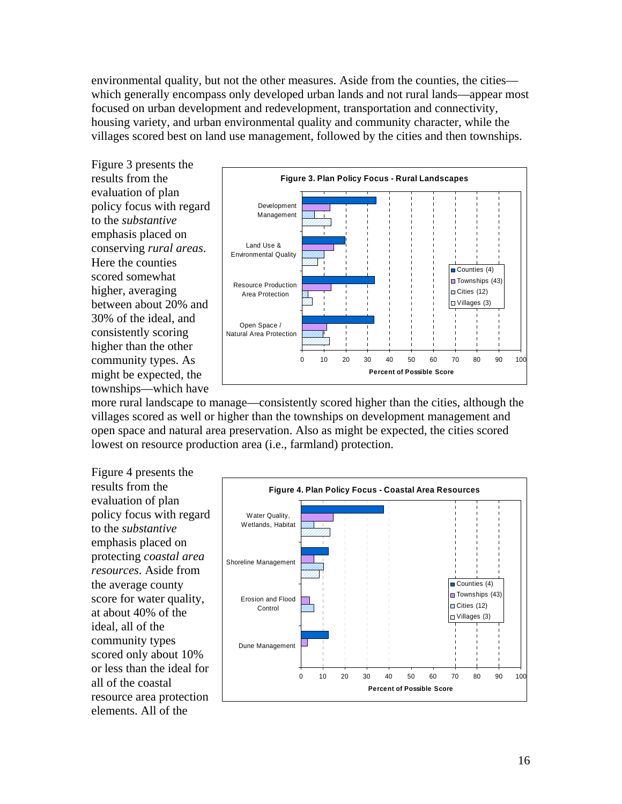environmental quality, but not the other measures. Aside from the counties, the cities which generally encompass only developed urban lands and not rural lands—appear most focused on urban development and redevelopment, transportation and connectivity, housing variety, and urban environmental quality and community character, while the villages scored best on land use management, followed by the cities and then townships.

Figure 3 presents the results from the evaluation of plan policy focus with regard to the *substantive* emphasis placed on conserving *rural areas*. Here the counties scored somewhat higher, averaging between about 20% and 30% of the ideal, and consistently scoring higher than the other community types. As might be expected, the townships—which have



more rural landscape to manage—consistently scored higher than the cities, although the villages scored as well or higher than the townships on development management and open space and natural area preservation. Also as might be expected, the cities scored lowest on resource production area (i.e., farmland) protection.

Figure 4 presents the results from the evaluation of plan policy focus with regard to the *substantive* emphasis placed on protecting *coastal area resources*. Aside from the average county score for water quality, at about 40% of the ideal, all of the community types scored only about 10% or less than the ideal for all of the coastal resource area protection elements. All of the

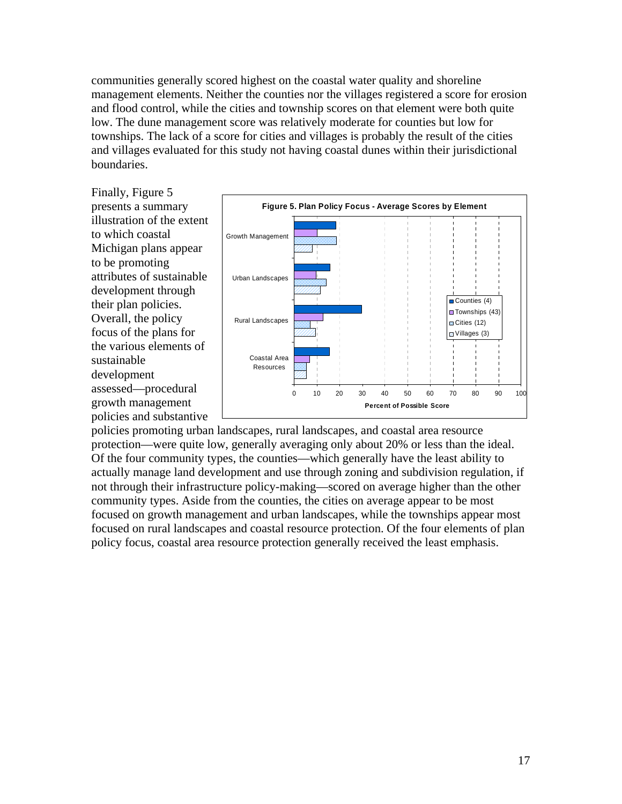communities generally scored highest on the coastal water quality and shoreline management elements. Neither the counties nor the villages registered a score for erosion and flood control, while the cities and township scores on that element were both quite low. The dune management score was relatively moderate for counties but low for townships. The lack of a score for cities and villages is probably the result of the cities and villages evaluated for this study not having coastal dunes within their jurisdictional boundaries.

Finally, Figure 5 presents a summary illustration of the extent to which coastal Michigan plans appear to be promoting attributes of sustainable development through their plan policies. Overall, the policy focus of the plans for the various elements of sustainable development assessed—procedural growth management policies and substantive



policies promoting urban landscapes, rural landscapes, and coastal area resource protection—were quite low, generally averaging only about 20% or less than the ideal. Of the four community types, the counties—which generally have the least ability to actually manage land development and use through zoning and subdivision regulation, if not through their infrastructure policy-making—scored on average higher than the other community types. Aside from the counties, the cities on average appear to be most focused on growth management and urban landscapes, while the townships appear most focused on rural landscapes and coastal resource protection. Of the four elements of plan policy focus, coastal area resource protection generally received the least emphasis.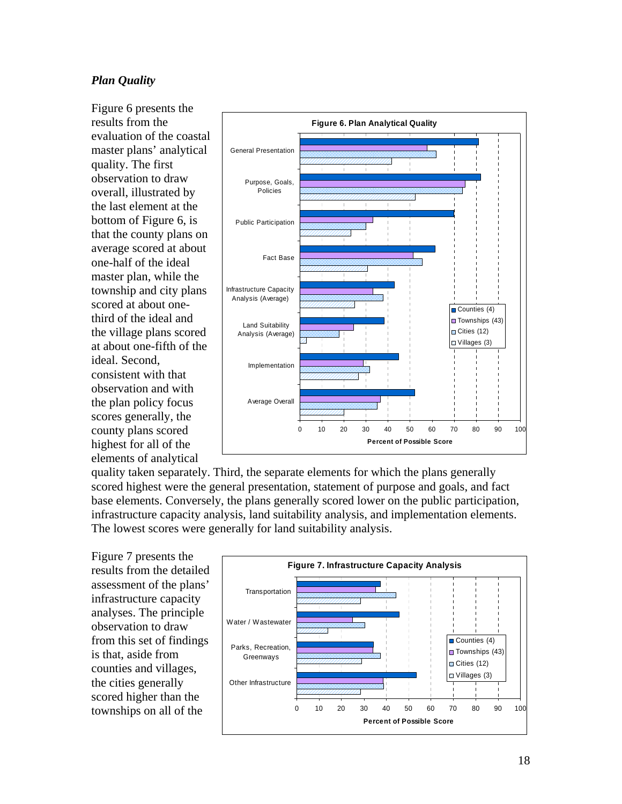### *Plan Quality*

Figure 6 presents the results from the evaluation of the coastal master plans' analytical quality. The first observation to draw overall, illustrated by the last element at the bottom of Figure 6, is that the county plans on average scored at about one-half of the ideal master plan, while the township and city plans scored at about onethird of the ideal and the village plans scored at about one-fifth of the ideal. Second, consistent with that observation and with the plan policy focus scores generally, the county plans scored highest for all of the elements of analytical



quality taken separately. Third, the separate elements for which the plans generally scored highest were the general presentation, statement of purpose and goals, and fact base elements. Conversely, the plans generally scored lower on the public participation, infrastructure capacity analysis, land suitability analysis, and implementation elements. The lowest scores were generally for land suitability analysis.

Figure 7 presents the results from the detailed assessment of the plans' infrastructure capacity analyses. The principle observation to draw from this set of findings is that, aside from counties and villages, the cities generally scored higher than the townships on all of the

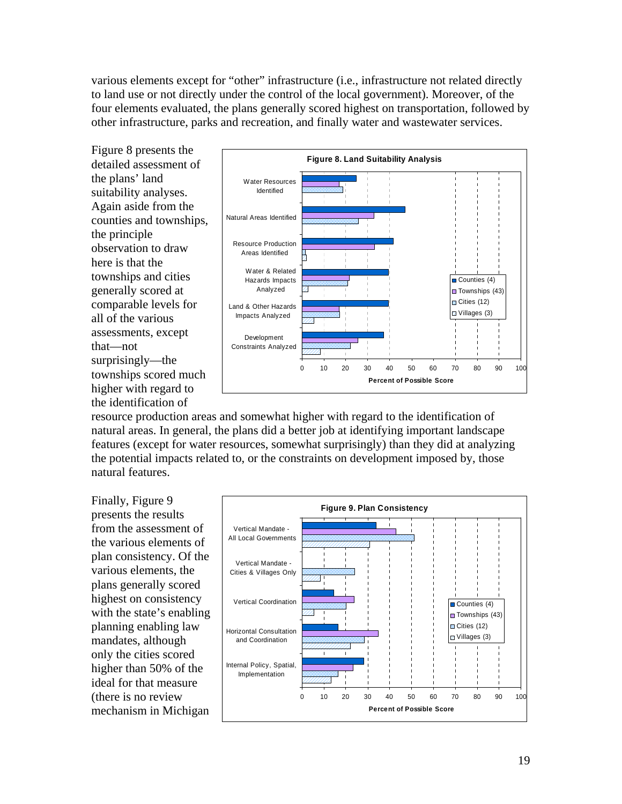various elements except for "other" infrastructure (i.e., infrastructure not related directly to land use or not directly under the control of the local government). Moreover, of the four elements evaluated, the plans generally scored highest on transportation, followed by other infrastructure, parks and recreation, and finally water and wastewater services.

Figure 8 presents the detailed assessment of the plans' land suitability analyses. Again aside from the counties and townships, the principle observation to draw here is that the townships and cities generally scored at comparable levels for all of the various assessments, except that—not surprisingly—the townships scored much higher with regard to the identification of



resource production areas and somewhat higher with regard to the identification of natural areas. In general, the plans did a better job at identifying important landscape features (except for water resources, somewhat surprisingly) than they did at analyzing the potential impacts related to, or the constraints on development imposed by, those natural features.

Finally, Figure 9 presents the results from the assessment of the various elements of plan consistency. Of the various elements, the plans generally scored highest on consistency with the state's enabling planning enabling law mandates, although only the cities scored higher than 50% of the ideal for that measure (there is no review mechanism in Michigan

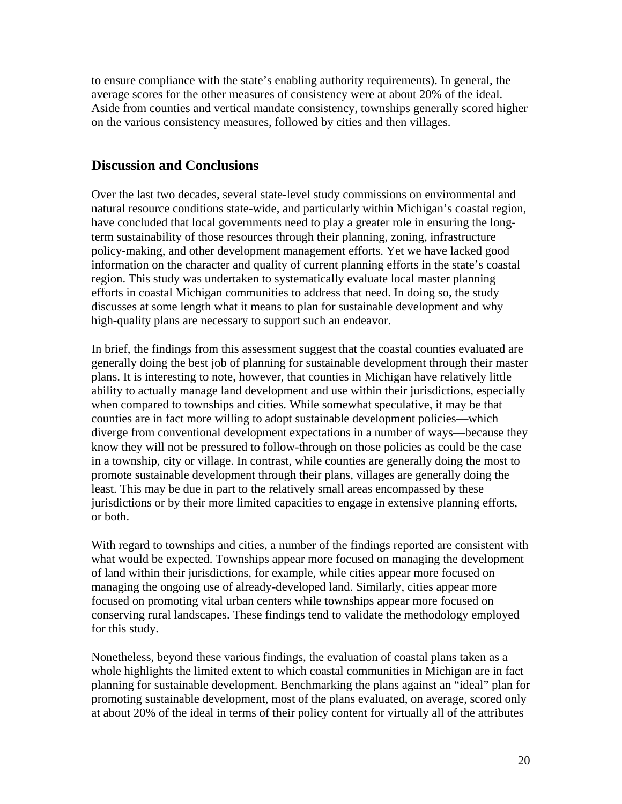to ensure compliance with the state's enabling authority requirements). In general, the average scores for the other measures of consistency were at about 20% of the ideal. Aside from counties and vertical mandate consistency, townships generally scored higher on the various consistency measures, followed by cities and then villages.

### **Discussion and Conclusions**

Over the last two decades, several state-level study commissions on environmental and natural resource conditions state-wide, and particularly within Michigan's coastal region, have concluded that local governments need to play a greater role in ensuring the longterm sustainability of those resources through their planning, zoning, infrastructure policy-making, and other development management efforts. Yet we have lacked good information on the character and quality of current planning efforts in the state's coastal region. This study was undertaken to systematically evaluate local master planning efforts in coastal Michigan communities to address that need. In doing so, the study discusses at some length what it means to plan for sustainable development and why high-quality plans are necessary to support such an endeavor.

In brief, the findings from this assessment suggest that the coastal counties evaluated are generally doing the best job of planning for sustainable development through their master plans. It is interesting to note, however, that counties in Michigan have relatively little ability to actually manage land development and use within their jurisdictions, especially when compared to townships and cities. While somewhat speculative, it may be that counties are in fact more willing to adopt sustainable development policies—which diverge from conventional development expectations in a number of ways—because they know they will not be pressured to follow-through on those policies as could be the case in a township, city or village. In contrast, while counties are generally doing the most to promote sustainable development through their plans, villages are generally doing the least. This may be due in part to the relatively small areas encompassed by these jurisdictions or by their more limited capacities to engage in extensive planning efforts, or both.

With regard to townships and cities, a number of the findings reported are consistent with what would be expected. Townships appear more focused on managing the development of land within their jurisdictions, for example, while cities appear more focused on managing the ongoing use of already-developed land. Similarly, cities appear more focused on promoting vital urban centers while townships appear more focused on conserving rural landscapes. These findings tend to validate the methodology employed for this study.

Nonetheless, beyond these various findings, the evaluation of coastal plans taken as a whole highlights the limited extent to which coastal communities in Michigan are in fact planning for sustainable development. Benchmarking the plans against an "ideal" plan for promoting sustainable development, most of the plans evaluated, on average, scored only at about 20% of the ideal in terms of their policy content for virtually all of the attributes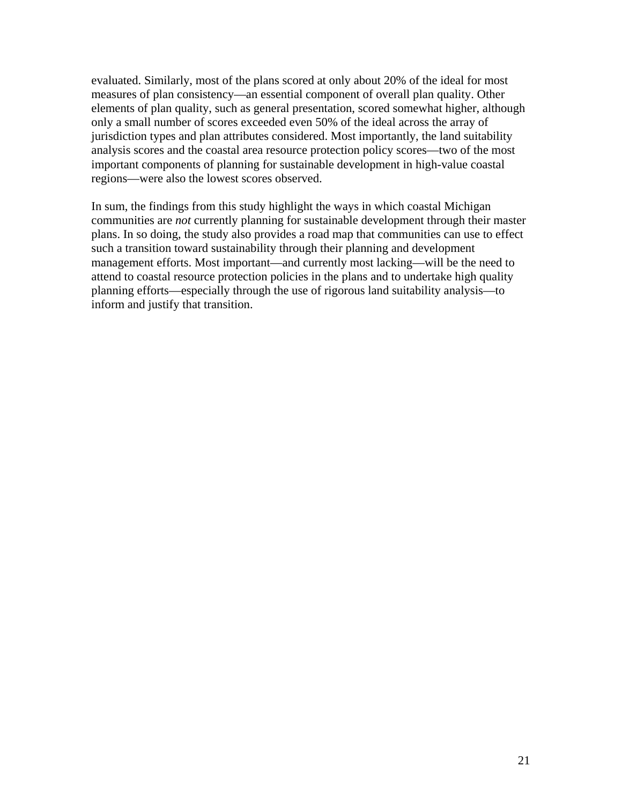evaluated. Similarly, most of the plans scored at only about 20% of the ideal for most measures of plan consistency—an essential component of overall plan quality. Other elements of plan quality, such as general presentation, scored somewhat higher, although only a small number of scores exceeded even 50% of the ideal across the array of jurisdiction types and plan attributes considered. Most importantly, the land suitability analysis scores and the coastal area resource protection policy scores—two of the most important components of planning for sustainable development in high-value coastal regions—were also the lowest scores observed.

In sum, the findings from this study highlight the ways in which coastal Michigan communities are *not* currently planning for sustainable development through their master plans. In so doing, the study also provides a road map that communities can use to effect such a transition toward sustainability through their planning and development management efforts. Most important—and currently most lacking—will be the need to attend to coastal resource protection policies in the plans and to undertake high quality planning efforts—especially through the use of rigorous land suitability analysis—to inform and justify that transition.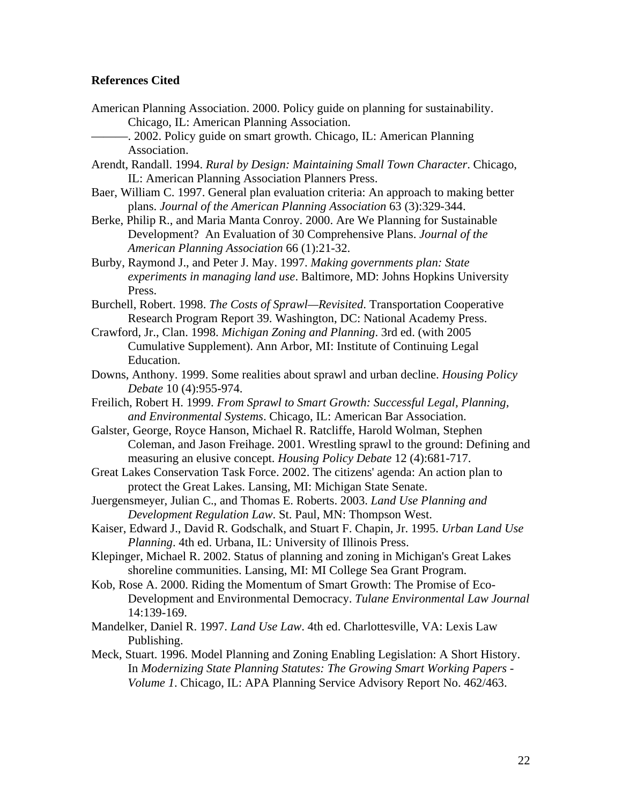#### **References Cited**

- American Planning Association. 2000. Policy guide on planning for sustainability. Chicago, IL: American Planning Association.
	- -. 2002. Policy guide on smart growth. Chicago, IL: American Planning Association.
- Arendt, Randall. 1994. *Rural by Design: Maintaining Small Town Character*. Chicago, IL: American Planning Association Planners Press.
- Baer, William C. 1997. General plan evaluation criteria: An approach to making better plans. *Journal of the American Planning Association* 63 (3):329-344.
- Berke, Philip R., and Maria Manta Conroy. 2000. Are We Planning for Sustainable Development? An Evaluation of 30 Comprehensive Plans. *Journal of the American Planning Association* 66 (1):21-32.
- Burby, Raymond J., and Peter J. May. 1997. *Making governments plan: State experiments in managing land use*. Baltimore, MD: Johns Hopkins University Press.
- Burchell, Robert. 1998. *The Costs of Sprawl—Revisited*. Transportation Cooperative Research Program Report 39. Washington, DC: National Academy Press.
- Crawford, Jr., Clan. 1998. *Michigan Zoning and Planning*. 3rd ed. (with 2005 Cumulative Supplement). Ann Arbor, MI: Institute of Continuing Legal Education.
- Downs, Anthony. 1999. Some realities about sprawl and urban decline. *Housing Policy Debate* 10 (4):955-974.
- Freilich, Robert H. 1999. *From Sprawl to Smart Growth: Successful Legal, Planning, and Environmental Systems*. Chicago, IL: American Bar Association.
- Galster, George, Royce Hanson, Michael R. Ratcliffe, Harold Wolman, Stephen Coleman, and Jason Freihage. 2001. Wrestling sprawl to the ground: Defining and measuring an elusive concept. *Housing Policy Debate* 12 (4):681-717.
- Great Lakes Conservation Task Force. 2002. The citizens' agenda: An action plan to protect the Great Lakes. Lansing, MI: Michigan State Senate.
- Juergensmeyer, Julian C., and Thomas E. Roberts. 2003. *Land Use Planning and Development Regulation Law*. St. Paul, MN: Thompson West.
- Kaiser, Edward J., David R. Godschalk, and Stuart F. Chapin, Jr. 1995. *Urban Land Use Planning*. 4th ed. Urbana, IL: University of Illinois Press.
- Klepinger, Michael R. 2002. Status of planning and zoning in Michigan's Great Lakes shoreline communities. Lansing, MI: MI College Sea Grant Program.
- Kob, Rose A. 2000. Riding the Momentum of Smart Growth: The Promise of Eco-Development and Environmental Democracy. *Tulane Environmental Law Journal* 14:139-169.
- Mandelker, Daniel R. 1997. *Land Use Law*. 4th ed. Charlottesville, VA: Lexis Law Publishing.
- Meck, Stuart. 1996. Model Planning and Zoning Enabling Legislation: A Short History. In *Modernizing State Planning Statutes: The Growing Smart Working Papers - Volume 1*. Chicago, IL: APA Planning Service Advisory Report No. 462/463.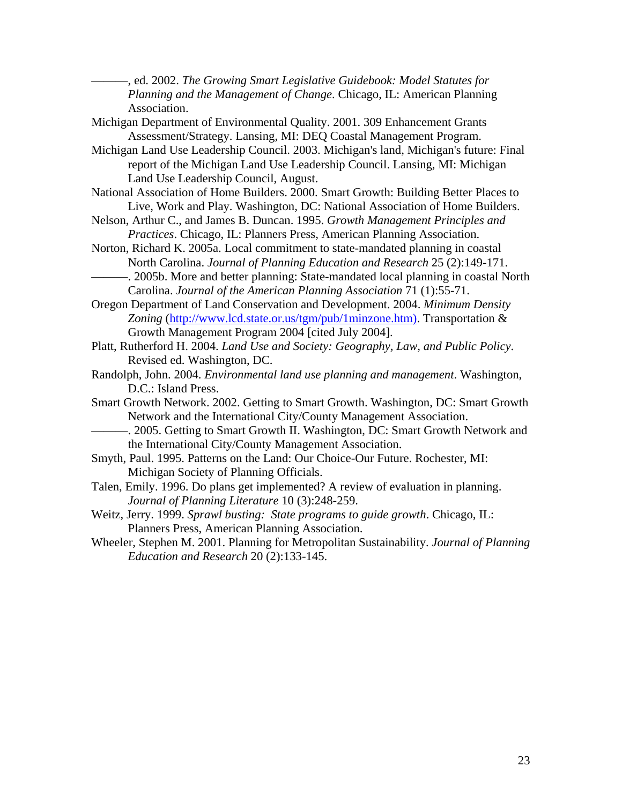———, ed. 2002. *The Growing Smart Legislative Guidebook: Model Statutes for Planning and the Management of Change*. Chicago, IL: American Planning Association.

- Michigan Department of Environmental Quality. 2001. 309 Enhancement Grants Assessment/Strategy. Lansing, MI: DEQ Coastal Management Program.
- Michigan Land Use Leadership Council. 2003. Michigan's land, Michigan's future: Final report of the Michigan Land Use Leadership Council. Lansing, MI: Michigan Land Use Leadership Council, August.
- National Association of Home Builders. 2000. Smart Growth: Building Better Places to Live, Work and Play. Washington, DC: National Association of Home Builders.
- Nelson, Arthur C., and James B. Duncan. 1995. *Growth Management Principles and Practices*. Chicago, IL: Planners Press, American Planning Association.
- Norton, Richard K. 2005a. Local commitment to state-mandated planning in coastal North Carolina. *Journal of Planning Education and Research* 25 (2):149-171.
- -. 2005b. More and better planning: State-mandated local planning in coastal North Carolina. *Journal of the American Planning Association* 71 (1):55-71.

Oregon Department of Land Conservation and Development. 2004. *Minimum Density Zoning* (http://www.lcd.state.or.us/tgm/pub/1minzone.htm). Transportation & Growth Management Program 2004 [cited July 2004].

- Platt, Rutherford H. 2004. *Land Use and Society: Geography, Law, and Public Policy*. Revised ed. Washington, DC.
- Randolph, John. 2004. *Environmental land use planning and management*. Washington, D.C.: Island Press.
- Smart Growth Network. 2002. Getting to Smart Growth. Washington, DC: Smart Growth Network and the International City/County Management Association.
	- ———. 2005. Getting to Smart Growth II. Washington, DC: Smart Growth Network and the International City/County Management Association.
- Smyth, Paul. 1995. Patterns on the Land: Our Choice-Our Future. Rochester, MI: Michigan Society of Planning Officials.
- Talen, Emily. 1996. Do plans get implemented? A review of evaluation in planning. *Journal of Planning Literature* 10 (3):248-259.
- Weitz, Jerry. 1999. *Sprawl busting: State programs to guide growth*. Chicago, IL: Planners Press, American Planning Association.
- Wheeler, Stephen M. 2001. Planning for Metropolitan Sustainability. *Journal of Planning Education and Research* 20 (2):133-145.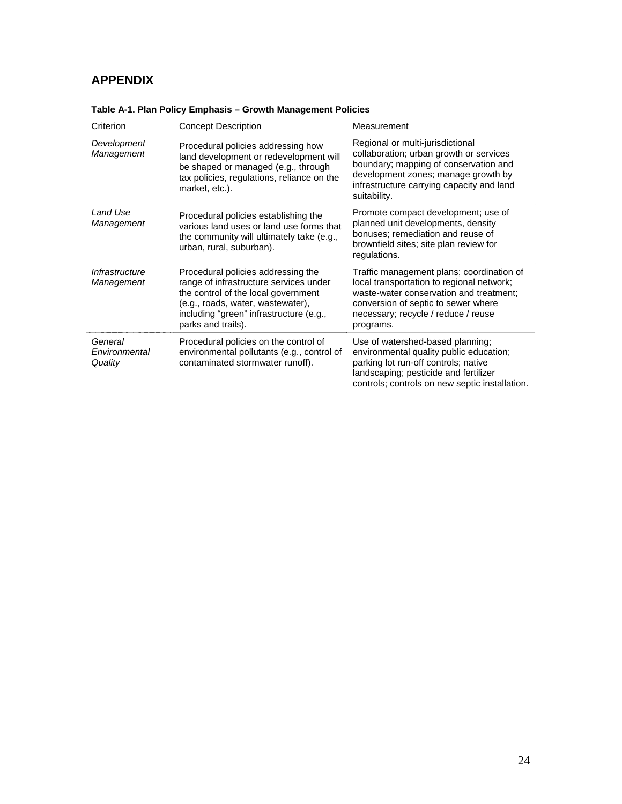## **APPENDIX**

| Criterion                           | <b>Concept Description</b>                                                                                                                                                                                                | Measurement                                                                                                                                                                                                                  |
|-------------------------------------|---------------------------------------------------------------------------------------------------------------------------------------------------------------------------------------------------------------------------|------------------------------------------------------------------------------------------------------------------------------------------------------------------------------------------------------------------------------|
| Development<br>Management           | Procedural policies addressing how<br>land development or redevelopment will<br>be shaped or managed (e.g., through<br>tax policies, regulations, reliance on the<br>market, etc.).                                       | Regional or multi-jurisdictional<br>collaboration; urban growth or services<br>boundary; mapping of conservation and<br>development zones; manage growth by<br>infrastructure carrying capacity and land<br>suitability.     |
| I and Use<br>Management             | Procedural policies establishing the<br>various land uses or land use forms that<br>the community will ultimately take (e.g.,<br>urban, rural, suburban).                                                                 | Promote compact development; use of<br>planned unit developments, density<br>bonuses; remediation and reuse of<br>brownfield sites; site plan review for<br>regulations.                                                     |
| Infrastructure<br>Management        | Procedural policies addressing the<br>range of infrastructure services under<br>the control of the local government<br>(e.g., roads, water, wastewater),<br>including "green" infrastructure (e.g.,<br>parks and trails). | Traffic management plans; coordination of<br>local transportation to regional network;<br>waste-water conservation and treatment;<br>conversion of septic to sewer where<br>necessary; recycle / reduce / reuse<br>programs. |
| General<br>Fnvironmental<br>Quality | Procedural policies on the control of<br>environmental pollutants (e.g., control of<br>contaminated stormwater runoff).                                                                                                   | Use of watershed-based planning;<br>environmental quality public education;<br>parking lot run-off controls; native<br>landscaping; pesticide and fertilizer<br>controls; controls on new septic installation.               |

**Table A-1. Plan Policy Emphasis – Growth Management Policies**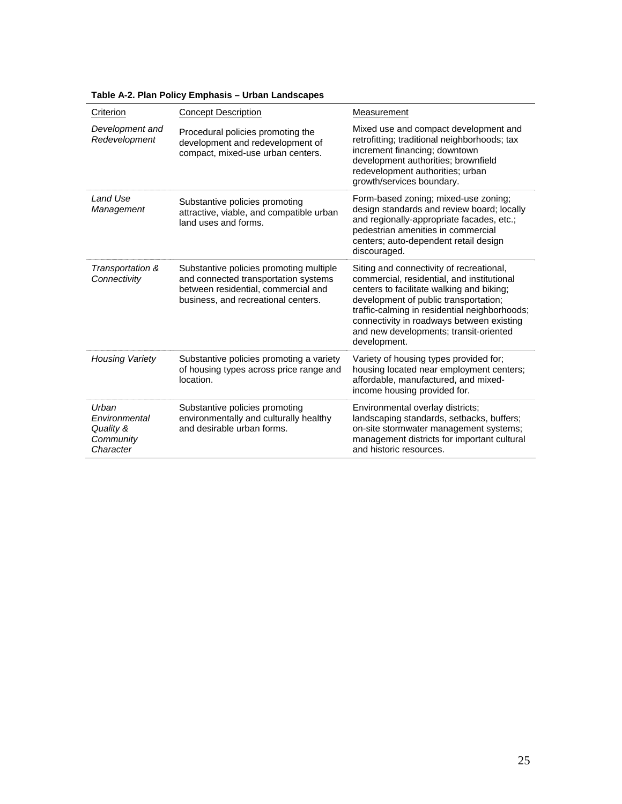| Criterion                                                     | <b>Concept Description</b>                                                                                                                                    | Measurement                                                                                                                                                                                                                                                                                                                          |  |
|---------------------------------------------------------------|---------------------------------------------------------------------------------------------------------------------------------------------------------------|--------------------------------------------------------------------------------------------------------------------------------------------------------------------------------------------------------------------------------------------------------------------------------------------------------------------------------------|--|
| Development and<br>Redevelopment                              | Procedural policies promoting the<br>development and redevelopment of<br>compact, mixed-use urban centers.                                                    | Mixed use and compact development and<br>retrofitting; traditional neighborhoods; tax<br>increment financing; downtown<br>development authorities; brownfield<br>redevelopment authorities; urban<br>growth/services boundary.                                                                                                       |  |
| I and Use<br>Management                                       | Substantive policies promoting<br>attractive, viable, and compatible urban<br>land uses and forms.                                                            | Form-based zoning; mixed-use zoning;<br>design standards and review board; locally<br>and regionally-appropriate facades, etc.;<br>pedestrian amenities in commercial<br>centers; auto-dependent retail design<br>discouraged.                                                                                                       |  |
| Transportation &<br>Connectivity                              | Substantive policies promoting multiple<br>and connected transportation systems<br>between residential, commercial and<br>business, and recreational centers. | Siting and connectivity of recreational,<br>commercial, residential, and institutional<br>centers to facilitate walking and biking;<br>development of public transportation;<br>traffic-calming in residential neighborhoods;<br>connectivity in roadways between existing<br>and new developments; transit-oriented<br>development. |  |
| <b>Housing Variety</b>                                        | Substantive policies promoting a variety<br>of housing types across price range and<br>location.                                                              | Variety of housing types provided for;<br>housing located near employment centers;<br>affordable, manufactured, and mixed-<br>income housing provided for.                                                                                                                                                                           |  |
| Urban<br>Environmental<br>Quality &<br>Community<br>Character | Substantive policies promoting<br>environmentally and culturally healthy<br>and desirable urban forms.                                                        | Environmental overlay districts;<br>landscaping standards, setbacks, buffers;<br>on-site stormwater management systems;<br>management districts for important cultural<br>and historic resources.                                                                                                                                    |  |

#### **Table A-2. Plan Policy Emphasis – Urban Landscapes**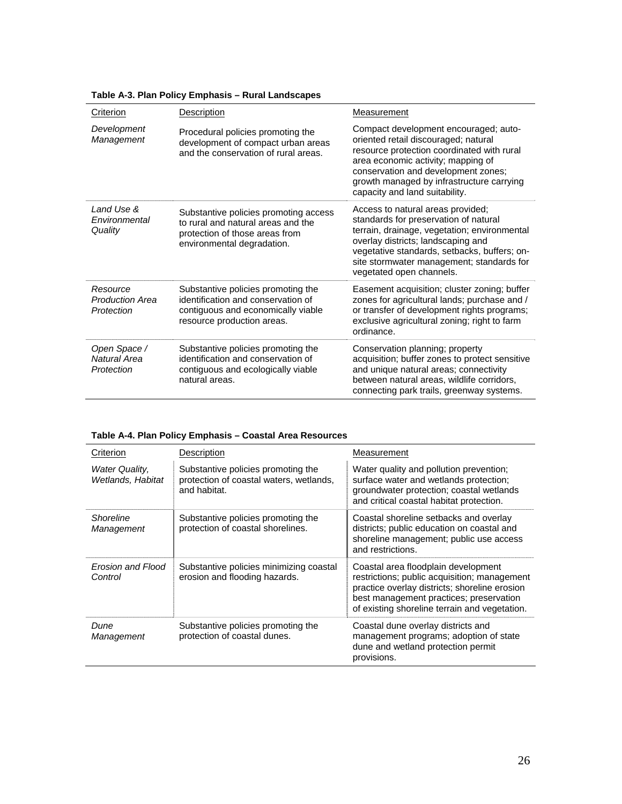| Criterion                                        | Description                                                                                                                                  | Measurement                                                                                                                                                                                                                                                                               |
|--------------------------------------------------|----------------------------------------------------------------------------------------------------------------------------------------------|-------------------------------------------------------------------------------------------------------------------------------------------------------------------------------------------------------------------------------------------------------------------------------------------|
| Development<br>Management                        | Procedural policies promoting the<br>development of compact urban areas<br>and the conservation of rural areas.                              | Compact development encouraged; auto-<br>oriented retail discouraged; natural<br>resource protection coordinated with rural<br>area economic activity; mapping of<br>conservation and development zones;<br>growth managed by infrastructure carrying<br>capacity and land suitability.   |
| Land Use &<br>Fnvironmental<br>Quality           | Substantive policies promoting access<br>to rural and natural areas and the<br>protection of those areas from<br>environmental degradation.  | Access to natural areas provided;<br>standards for preservation of natural<br>terrain, drainage, vegetation; environmental<br>overlay districts; landscaping and<br>vegetative standards, setbacks, buffers; on-<br>site stormwater management; standards for<br>vegetated open channels. |
| Resource<br><b>Production Area</b><br>Protection | Substantive policies promoting the<br>identification and conservation of<br>contiguous and economically viable<br>resource production areas. | Easement acquisition; cluster zoning; buffer<br>zones for agricultural lands; purchase and /<br>or transfer of development rights programs;<br>exclusive agricultural zoning; right to farm<br>ordinance.                                                                                 |
| Open Space /<br>Natural Area<br>Protection       | Substantive policies promoting the<br>identification and conservation of<br>contiguous and ecologically viable<br>natural areas.             | Conservation planning; property<br>acquisition; buffer zones to protect sensitive<br>and unique natural areas; connectivity<br>between natural areas, wildlife corridors,<br>connecting park trails, greenway systems.                                                                    |

#### **Table A-3. Plan Policy Emphasis – Rural Landscapes**

#### **Table A-4. Plan Policy Emphasis – Coastal Area Resources**

| Criterion                           | Description                                                                                   | Measurement                                                                                                                                                                                                                      |
|-------------------------------------|-----------------------------------------------------------------------------------------------|----------------------------------------------------------------------------------------------------------------------------------------------------------------------------------------------------------------------------------|
| Water Quality,<br>Wetlands, Habitat | Substantive policies promoting the<br>protection of coastal waters, wetlands,<br>and habitat. | Water quality and pollution prevention;<br>surface water and wetlands protection;<br>groundwater protection; coastal wetlands<br>and critical coastal habitat protection.                                                        |
| Shoreline<br>Management             | Substantive policies promoting the<br>protection of coastal shorelines.                       | Coastal shoreline setbacks and overlay<br>districts; public education on coastal and<br>shoreline management; public use access<br>and restrictions.                                                                             |
| Erosion and Flood<br>Control        | Substantive policies minimizing coastal<br>erosion and flooding hazards.                      | Coastal area floodplain development<br>restrictions; public acquisition; management<br>practice overlay districts; shoreline erosion<br>best management practices; preservation<br>of existing shoreline terrain and vegetation. |
| Dune<br>Management                  | Substantive policies promoting the<br>protection of coastal dunes.                            | Coastal dune overlay districts and<br>management programs; adoption of state<br>dune and wetland protection permit<br>provisions.                                                                                                |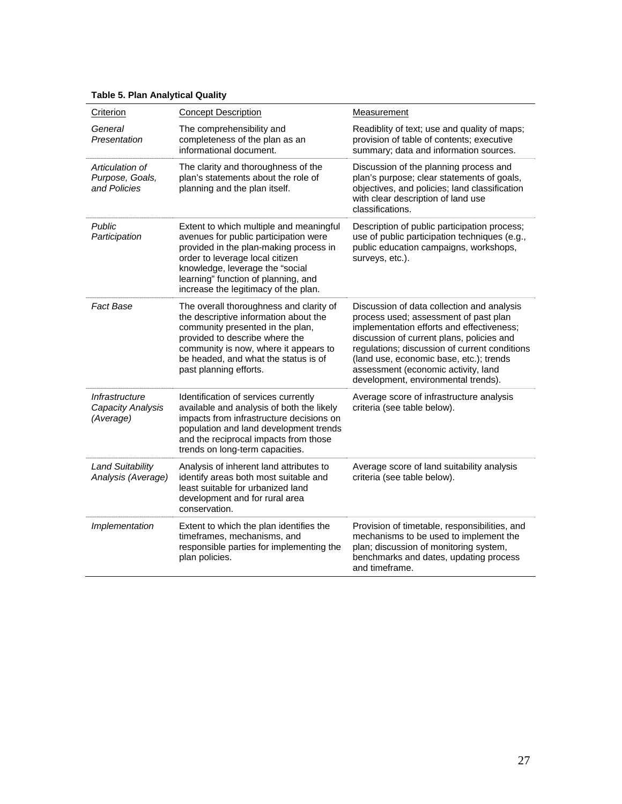### **Table 5. Plan Analytical Quality**

| Criterion                                          | <b>Concept Description</b>                                                                                                                                                                                                                                                      | Measurement                                                                                                                                                                                                                                                                                                                                             |  |
|----------------------------------------------------|---------------------------------------------------------------------------------------------------------------------------------------------------------------------------------------------------------------------------------------------------------------------------------|---------------------------------------------------------------------------------------------------------------------------------------------------------------------------------------------------------------------------------------------------------------------------------------------------------------------------------------------------------|--|
| General<br>Presentation                            | The comprehensibility and<br>completeness of the plan as an<br>informational document.                                                                                                                                                                                          | Readiblity of text; use and quality of maps;<br>provision of table of contents; executive<br>summary; data and information sources.                                                                                                                                                                                                                     |  |
| Articulation of<br>Purpose, Goals,<br>and Policies | The clarity and thoroughness of the<br>plan's statements about the role of<br>planning and the plan itself.                                                                                                                                                                     | Discussion of the planning process and<br>plan's purpose; clear statements of goals,<br>objectives, and policies; land classification<br>with clear description of land use<br>classifications.                                                                                                                                                         |  |
| Public<br>Participation                            | Extent to which multiple and meaningful<br>avenues for public participation were<br>provided in the plan-making process in<br>order to leverage local citizen<br>knowledge, leverage the "social<br>learning" function of planning, and<br>increase the legitimacy of the plan. | Description of public participation process;<br>use of public participation techniques (e.g.,<br>public education campaigns, workshops,<br>surveys, etc.).                                                                                                                                                                                              |  |
| <b>Fact Base</b>                                   | The overall thoroughness and clarity of<br>the descriptive information about the<br>community presented in the plan,<br>provided to describe where the<br>community is now, where it appears to<br>be headed, and what the status is of<br>past planning efforts.               | Discussion of data collection and analysis<br>process used; assessment of past plan<br>implementation efforts and effectiveness;<br>discussion of current plans, policies and<br>regulations; discussion of current conditions<br>(land use, economic base, etc.); trends<br>assessment (economic activity, land<br>development, environmental trends). |  |
| Infrastructure<br>Capacity Analysis<br>(Average)   | Identification of services currently<br>available and analysis of both the likely<br>impacts from infrastructure decisions on<br>population and land development trends<br>and the reciprocal impacts from those<br>trends on long-term capacities.                             | Average score of infrastructure analysis<br>criteria (see table below).                                                                                                                                                                                                                                                                                 |  |
| <b>Land Suitability</b><br>Analysis (Average)      | Analysis of inherent land attributes to<br>identify areas both most suitable and<br>least suitable for urbanized land<br>development and for rural area<br>conservation.                                                                                                        | Average score of land suitability analysis<br>criteria (see table below).                                                                                                                                                                                                                                                                               |  |
| Implementation                                     | Extent to which the plan identifies the<br>timeframes, mechanisms, and<br>responsible parties for implementing the<br>plan policies.                                                                                                                                            | Provision of timetable, responsibilities, and<br>mechanisms to be used to implement the<br>plan; discussion of monitoring system,<br>benchmarks and dates, updating process<br>and timeframe.                                                                                                                                                           |  |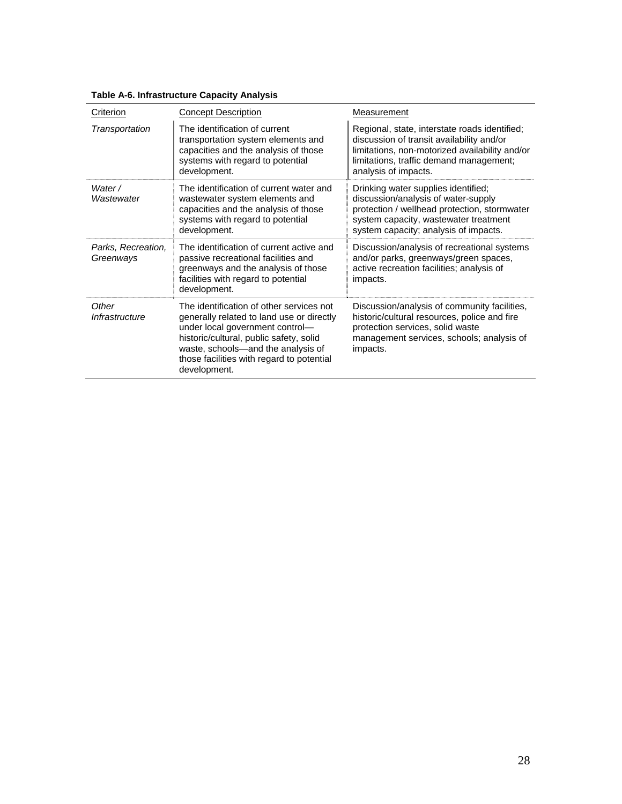| Criterion                       | <b>Concept Description</b>                                                                                                                                                                                                                                             | Measurement                                                                                                                                                                                                     |
|---------------------------------|------------------------------------------------------------------------------------------------------------------------------------------------------------------------------------------------------------------------------------------------------------------------|-----------------------------------------------------------------------------------------------------------------------------------------------------------------------------------------------------------------|
| Transportation                  | The identification of current<br>transportation system elements and<br>capacities and the analysis of those<br>systems with regard to potential<br>development.                                                                                                        | Regional, state, interstate roads identified;<br>discussion of transit availability and/or<br>limitations, non-motorized availability and/or<br>limitations, traffic demand management;<br>analysis of impacts. |
| Water /<br>Wastewater           | The identification of current water and<br>wastewater system elements and<br>capacities and the analysis of those<br>systems with regard to potential<br>development.                                                                                                  | Drinking water supplies identified;<br>discussion/analysis of water-supply<br>protection / wellhead protection, stormwater<br>system capacity, wastewater treatment<br>system capacity; analysis of impacts.    |
| Parks, Recreation,<br>Greenways | The identification of current active and<br>passive recreational facilities and<br>greenways and the analysis of those<br>facilities with regard to potential<br>development.                                                                                          | Discussion/analysis of recreational systems<br>and/or parks, greenways/green spaces,<br>active recreation facilities; analysis of<br>impacts.                                                                   |
| Other<br>Infrastructure         | The identification of other services not<br>generally related to land use or directly<br>under local government control-<br>historic/cultural, public safety, solid<br>waste, schools-and the analysis of<br>those facilities with regard to potential<br>development. | Discussion/analysis of community facilities,<br>historic/cultural resources, police and fire<br>protection services, solid waste<br>management services, schools; analysis of<br>impacts.                       |

### **Table A-6. Infrastructure Capacity Analysis**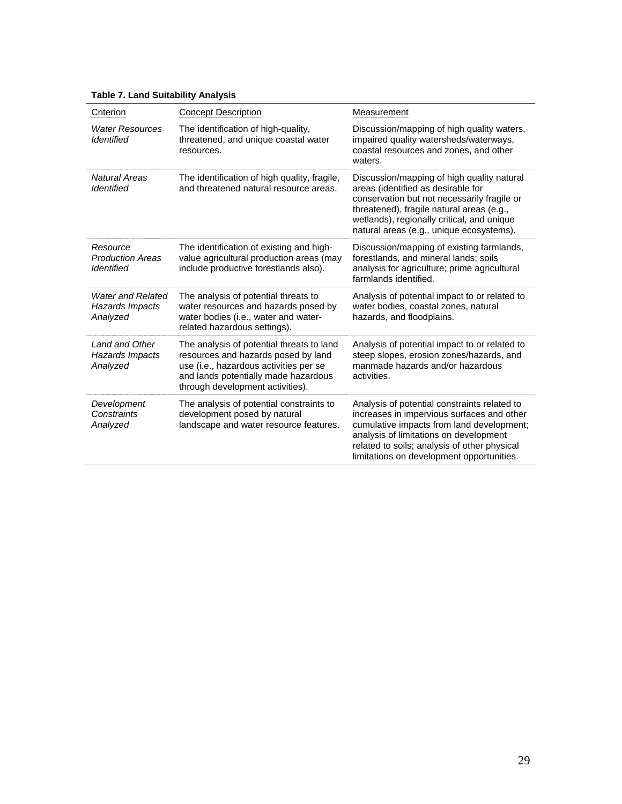|  |  | <b>Table 7. Land Suitability Analysis</b> |  |
|--|--|-------------------------------------------|--|
|--|--|-------------------------------------------|--|

| Criterion                                                | <b>Concept Description</b>                                                                                                                                                                             | Measurement                                                                                                                                                                                                                                                                    |
|----------------------------------------------------------|--------------------------------------------------------------------------------------------------------------------------------------------------------------------------------------------------------|--------------------------------------------------------------------------------------------------------------------------------------------------------------------------------------------------------------------------------------------------------------------------------|
| <b>Water Resources</b><br><b>Identified</b>              | The identification of high-quality,<br>threatened, and unique coastal water<br>resources.                                                                                                              | Discussion/mapping of high quality waters,<br>impaired quality watersheds/waterways,<br>coastal resources and zones, and other<br>waters.                                                                                                                                      |
| <b>Natural Areas</b><br><b>Identified</b>                | The identification of high quality, fragile,<br>and threatened natural resource areas.                                                                                                                 | Discussion/mapping of high quality natural<br>areas (identified as desirable for<br>conservation but not necessarily fragile or<br>threatened), fragile natural areas (e.g.,<br>wetlands), regionally critical, and unique<br>natural areas (e.g., unique ecosystems).         |
| Resource<br><b>Production Areas</b><br><b>Identified</b> | The identification of existing and high-<br>value agricultural production areas (may<br>include productive forestlands also).                                                                          | Discussion/mapping of existing farmlands,<br>forestlands, and mineral lands; soils<br>analysis for agriculture; prime agricultural<br>farmlands identified.                                                                                                                    |
| <b>Water and Related</b><br>Hazards Impacts<br>Analyzed  | The analysis of potential threats to<br>water resources and hazards posed by<br>water bodies (i.e., water and water-<br>related hazardous settings).                                                   | Analysis of potential impact to or related to<br>water bodies, coastal zones, natural<br>hazards, and floodplains.                                                                                                                                                             |
| Land and Other<br>Hazards Impacts<br>Analyzed            | The analysis of potential threats to land<br>resources and hazards posed by land<br>use (i.e., hazardous activities per se<br>and lands potentially made hazardous<br>through development activities). | Analysis of potential impact to or related to<br>steep slopes, erosion zones/hazards, and<br>manmade hazards and/or hazardous<br>activities.                                                                                                                                   |
| Development<br>Constraints<br>Analyzed                   | The analysis of potential constraints to<br>development posed by natural<br>landscape and water resource features.                                                                                     | Analysis of potential constraints related to<br>increases in impervious surfaces and other<br>cumulative impacts from land development;<br>analysis of limitations on development<br>related to soils; analysis of other physical<br>limitations on development opportunities. |